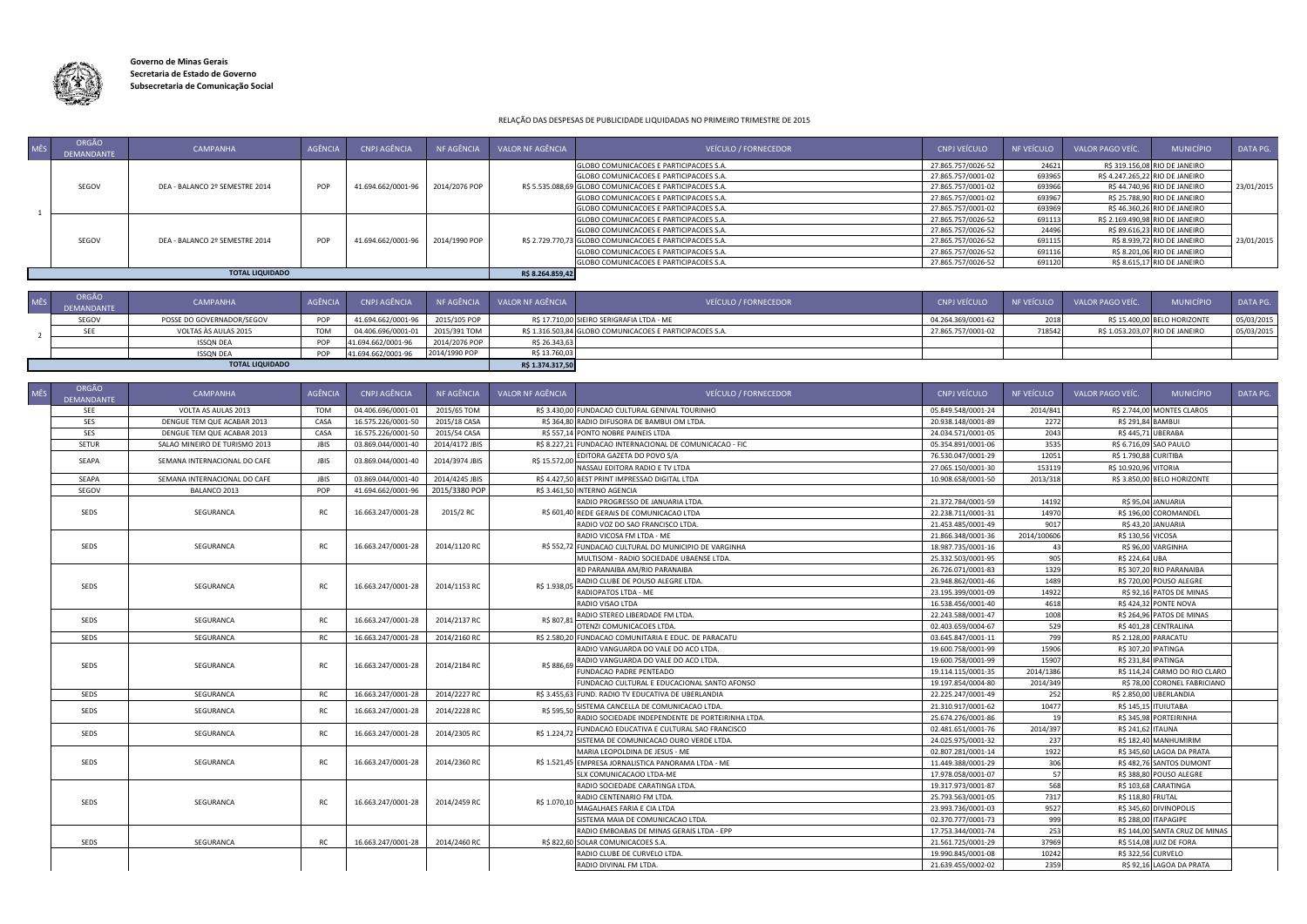

**Governo de Minas Gerais Secretaria de Estado de Governo Subsecretaria de Comunicação Social**

## RELAÇÃO DAS DESPESAS DE PUBLICIDADE LIQUIDADAS NO PRIMEIRO TRIMESTRE DE 2015

| MÊS | ORGÃO<br>DEMANDANTE | <b>CAMPANHA</b>                | AGÊNCIA | CNPJ AGÊNCIA       |               | NF AGÊNCIA VALOR NF AGÊNCIA             | <b>VEÍCULO / FORNECEDOR</b>                              | CNPJ VEÍCULO       | NF VEÍCULO | VALOR PAGO VEÍC.                | <b>MUNICÍPIO</b>              | DATA PG.   |
|-----|---------------------|--------------------------------|---------|--------------------|---------------|-----------------------------------------|----------------------------------------------------------|--------------------|------------|---------------------------------|-------------------------------|------------|
|     |                     |                                |         |                    |               |                                         | GLOBO COMUNICACOES E PARTICIPACOES S.A.                  | 27.865.757/0026-52 | 24621      |                                 | R\$ 319.156,08 RIO DE JANEIRO |            |
|     |                     |                                |         |                    |               |                                         | GLOBO COMUNICACOES E PARTICIPACOES S.A.                  | 27.865.757/0001-02 | 693965     | R\$ 4.247.265,22 RIO DE JANEIRO |                               |            |
|     | SEGOV               | DEA - BALANCO 2º SEMESTRE 2014 | POP     | 41.694.662/0001-96 | 2014/2076 POP |                                         | R\$ 5.535.088,69 GLOBO COMUNICACOES E PARTICIPACOES S.A. | 27.865.757/0001-02 | 693966     |                                 | R\$ 44.740,96 RIO DE JANEIRO  | 23/01/2015 |
|     |                     |                                |         |                    |               |                                         | GLOBO COMUNICACOES E PARTICIPACOES S.A.                  | 27.865.757/0001-02 | 69396      |                                 | R\$ 25.788,90 RIO DE JANEIRO  |            |
|     |                     |                                |         |                    |               |                                         | GLOBO COMUNICACOES E PARTICIPACOES S.A.                  | 27.865.757/0001-02 | 693969     |                                 | R\$ 46.360,26 RIO DE JANEIRO  |            |
|     |                     |                                |         |                    |               |                                         | GLOBO COMUNICACOES E PARTICIPACOES S.A.                  | 27.865.757/0026-52 | 691113     | R\$ 2.169.490,98 RIO DE JANEIRO |                               |            |
|     |                     |                                |         |                    |               |                                         | GLOBO COMUNICACOES E PARTICIPACOES S.A.                  | 27.865.757/0026-52 | 24496      |                                 | R\$ 89.616,23 RIO DE JANEIRO  |            |
|     | SEGOV               | DEA - BALANCO 2º SEMESTRE 2014 | POP     | 41.694.662/0001-96 | 2014/1990 POP |                                         | R\$ 2.729.770,73 GLOBO COMUNICACOES E PARTICIPACOES S.A. | 27.865.757/0026-52 | 691115     |                                 | R\$ 8.939,72 RIO DE JANEIRO   | 23/01/2015 |
|     |                     |                                |         |                    |               | GLOBO COMUNICACOES E PARTICIPACOES S.A. | 27.865.757/0026-52                                       | 691116             |            | R\$ 8.201,06 RIO DE JANEIRO     |                               |            |
|     |                     |                                |         |                    |               |                                         | GLOBO COMUNICACOES E PARTICIPACOES S.A.                  | 27.865.757/0026-52 | 691120     |                                 | R\$ 8.615,17 RIO DE JANEIRO   |            |
|     |                     | <b>TOTAL LIQUIDADO</b>         |         |                    |               | R\$ 8.264.859,42                        |                                                          |                    |            |                                 |                               |            |

| <b>MÊS</b> | <b>ORGÃO</b><br>DEMANDANTE | <b>CAMPANHA</b>           | <b>AGÊNCIA</b> | CNPJ AGÊNCIA                    |               | NF AGÊNCIA VALOR NF AGÊNCIA | VEÍCULO / FORNECEDOR                                     | CNPJ VEÍCULO       | NFVFICULO | VALOR PAGO VEÍC. | <b>MUNICÍPIO</b>                | DATA PG.   |
|------------|----------------------------|---------------------------|----------------|---------------------------------|---------------|-----------------------------|----------------------------------------------------------|--------------------|-----------|------------------|---------------------------------|------------|
|            | SEGOV                      | POSSE DO GOVERNADOR/SEGOV |                | 41.694.662/0001-96 2015/105 POP |               |                             | RŚ 17.710.00 SIEIRO SERIGRAFIA LTDA - ME                 | 04.264.369/0001-62 |           |                  | R\$ 15.400,00 BELO HORIZONTE    | 05/03/2015 |
|            | <b>SEE</b>                 | VOLTAS ÀS AULAS 2015      |                | 04.406.696/0001-01              | 2015/391 TOM  |                             | R\$ 1.316.503,84 GLOBO COMUNICACOES E PARTICIPACOES S.A. | 27.865.757/0001-02 | 718542    |                  | R\$ 1.053.203.07 RIO DE JANEIRO | 05/03/2015 |
|            |                            | <b>ISSON DEA</b>          |                | 41.694.662/0001-96              | 2014/2076 POP | R\$ 26.343,63               |                                                          |                    |           |                  |                                 |            |
|            |                            | <b>ISSON DEA</b>          |                | 41.694.662/0001-96              | 2014/1990 POP | R\$ 13.760,03               |                                                          |                    |           |                  |                                 |            |
|            | <b>TOTAL LIQUIDADO</b>     |                           |                |                                 |               |                             | R\$ 1.374.317,50                                         |                    |           |                  |                                 |            |

| MÊS | ORGÃO<br><b>DEMANDANTE</b> | <b>CAMPANHA</b>               | AGÊNCIA     | CNPJ AGÊNCIA       | NF AGÊNCIA     | VALOR NF AGÊNCIA          | <b>VEÍCULO / FORNECEDOR</b>                              | CNPJ VEÍCULO       | NF VEÍCULO  | VALOR PAGO VEÍC.             | <b>MUNICÍPIO</b>               | DATA PG. |
|-----|----------------------------|-------------------------------|-------------|--------------------|----------------|---------------------------|----------------------------------------------------------|--------------------|-------------|------------------------------|--------------------------------|----------|
|     | SEE                        | VOLTA AS AULAS 2013           | <b>TOM</b>  | 04.406.696/0001-01 | 2015/65 TOM    | R\$ 3,430.00              | FUNDACAO CULTURAL GENIVAL TOURINHO                       | 05.849.548/0001-24 | 2014/841    |                              | R\$ 2.744,00 MONTES CLAROS     |          |
|     | SES                        | DENGUE TEM QUE ACABAR 2013    | CASA        | 16.575.226/0001-50 | 2015/18 CASA   | R\$ 364.80                | RADIO DIFUSORA DE BAMBUI OM LTDA                         | 20.938.148/0001-89 | 2272        | <b>R\$ 291.84 BAMBUI</b>     |                                |          |
|     | SES                        | DENGUE TEM QUE ACABAR 2013    | CASA        | 16.575.226/0001-50 | 2015/54 CASA   |                           | R\$ 557.14 PONTO NOBRE PAINEIS LTDA                      | 24.034.571/0001-05 | 2043        |                              | R\$ 445.71 UBERABA             |          |
|     | <b>SETUR</b>               | SALAO MINEIRO DE TURISMO 2013 | <b>JBIS</b> | 03.869.044/0001-40 | 2014/4172 JBIS |                           | R\$ 8.227.21 FUNDACAO INTERNACIONAL DE COMUNICACAO - FIC | 05.354.891/0001-06 | 3535        |                              | R\$ 6.716.09 SAO PAULO         |          |
|     | SEAPA                      | SEMANA INTERNACIONAL DO CAFE  | <b>JBIS</b> | 03.869.044/0001-40 | 2014/3974 JBIS | R\$ 15,572.00             | EDITORA GAZETA DO POVO S/A                               | 76.530.047/0001-29 | 12051       | <b>R\$ 1.790.88 CURITIBA</b> |                                |          |
|     |                            |                               |             |                    |                |                           | NASSAU EDITORA RADIO E TV LTDA                           | 27.065.150/0001-30 | 153119      | R\$ 10.920.96 VITORIA        |                                |          |
|     | SEAPA                      | SEMANA INTERNACIONAL DO CAFE  | <b>JBIS</b> | 03.869.044/0001-40 | 2014/4245 JBIS | R\$4.427.50               | BEST PRINT IMPRESSAO DIGITAL LTDA                        | 10.908.658/0001-50 | 2013/318    |                              | R\$ 3.850,00 BELO HORIZONTE    |          |
|     | SEGOV                      | BALANCO 2013                  | POP         | 41.694.662/0001-96 | 2015/3380 POP  |                           | R\$ 3.461.50 INTERNO AGENCIA                             |                    |             |                              |                                |          |
|     |                            |                               |             |                    |                |                           | RADIO PROGRESSO DE JANUARIA LTDA                         | 21.372.784/0001-59 | 14192       |                              | R\$ 95.04 JANUARIA             |          |
|     | SEDS                       | SEGURANCA                     | <b>RC</b>   | 16.663.247/0001-28 | 2015/2 RC      |                           | R\$ 601,40 REDE GERAIS DE COMUNICACAO LTDA               | 22.238.711/0001-31 | 14970       |                              | R\$ 196.00 COROMANDEL          |          |
|     |                            |                               |             |                    |                |                           | RADIO VOZ DO SAO FRANCISCO LTDA.                         | 21.453.485/0001-49 | 9017        |                              | R\$ 43.20 JANUARIA             |          |
|     |                            |                               |             |                    |                |                           | RADIO VICOSA FM LTDA - ME                                | 21.866.348/0001-36 | 2014/100606 | R\$ 130.56 VICOSA            |                                |          |
|     | SEDS                       | SEGURANCA                     | RC          | 16.663.247/0001-28 | 2014/1120 RC   |                           | R\$ 552,72 FUNDACAO CULTURAL DO MUNICIPIO DE VARGINHA    | 18.987.735/0001-16 | 43          |                              | R\$ 96.00 VARGINHA             |          |
|     |                            |                               |             |                    |                |                           | MULTISOM - RADIO SOCIEDADE UBAENSE LTDA.                 | 25.332.503/0001-95 | 905         | R\$ 224.64 UBA               |                                |          |
|     |                            |                               |             |                    |                |                           | RD PARANAIBA AM/RIO PARANAIBA                            | 26.726.071/0001-83 | 1329        |                              | R\$ 307.20 RIO PARANAIBA       |          |
|     | SEDS                       | SEGURANCA                     | <b>RC</b>   | 16.663.247/0001-28 | 2014/1153 RC   | R\$ 1.938,05              | RADIO CLUBE DE POUSO ALEGRE LTDA                         | 23.948.862/0001-46 | 1489        |                              | R\$ 720.00 POUSO ALEGRE        |          |
|     |                            |                               |             |                    |                |                           | RADIOPATOS LTDA - ME                                     | 23.195.399/0001-09 | 14922       |                              | R\$ 92,16 PATOS DE MINAS       |          |
|     |                            |                               |             |                    |                |                           | RADIO VISAO LTDA                                         | 16.538.456/0001-40 | 4618        |                              | R\$ 424.32 PONTE NOVA          |          |
|     | <b>SEDS</b>                | SEGURANCA                     | <b>RC</b>   | 16.663.247/0001-28 |                | 2014/2137 RC<br>R\$ 807.8 | RADIO STEREO LIBERDADE FM LTDA.                          | 22.243.588/0001-47 | 1008        |                              | R\$ 264,96 PATOS DE MINAS      |          |
|     |                            |                               |             |                    |                |                           | OTENZI COMUNICACOES LTDA                                 | 02.403.659/0004-67 | 529         |                              | R\$ 401.28 CENTRALINA          |          |
|     | <b>SEDS</b>                | SEGURANCA                     | <b>RC</b>   | 16.663.247/0001-28 | 2014/2160 RC   |                           | R\$ 2.580.20 FUNDACAO COMUNITARIA E EDUC. DE PARACATU    | 03.645.847/0001-11 | 799         |                              | R\$ 2.128.00 PARACATU          |          |
|     |                            |                               |             |                    |                |                           | RADIO VANGUARDA DO VALE DO ACO LTDA.                     | 19.600.758/0001-99 | 15906       | R\$ 307,20                   | IPATINGA                       |          |
|     | <b>SEDS</b>                | SEGURANCA                     | <b>RC</b>   | 16.663.247/0001-28 | 2014/2184 RC   | R\$ 886.69                | RADIO VANGUARDA DO VALE DO ACO LTDA                      | 19.600.758/0001-99 | 15907       | R\$ 231.84                   | <b>IPATINGA</b>                |          |
|     |                            |                               |             |                    |                |                           | FUNDACAO PADRE PENTEADO                                  | 19.114.115/0001-35 | 2014/1386   |                              | R\$ 114,24 CARMO DO RIO CLARO  |          |
|     |                            |                               |             |                    |                |                           | FUNDACAO CULTURAL E EDUCACIONAL SANTO AFONSO             | 19.197.854/0004-80 | 2014/349    |                              | R\$ 78.00 CORONEL FABRICIANO   |          |
|     | <b>SEDS</b>                | SEGURANCA                     | RC          | 16.663.247/0001-28 | 2014/2227 RC   | R\$ 3.455,63              | FUND. RADIO TV EDUCATIVA DE UBERLANDIA                   | 22.225.247/0001-49 | 252         |                              | R\$ 2.850,00 UBERLANDIA        |          |
|     | <b>SEDS</b>                | SEGURANCA                     | RC          | 16.663.247/0001-28 | 2014/2228 RC   | R\$ 595.50                | SISTEMA CANCELLA DE COMUNICACAO LTDA.                    | 21.310.917/0001-62 | 10477       |                              | R\$ 145,15 ITUIUTABA           |          |
|     |                            |                               |             |                    |                |                           | RADIO SOCIEDADE INDEPENDENTE DE PORTEIRINHA LTDA.        | 25.674.276/0001-86 | 19          |                              | R\$ 345.98 PORTEIRINHA         |          |
|     | SEDS                       | SEGURANCA                     | RC.         | 16.663.247/0001-28 | 2014/2305 RC   | R\$ 1.224,7               | FUNDACAO EDUCATIVA E CULTURAL SAO FRANCISCO              | 02.481.651/0001-76 | 2014/397    | R\$ 241.62 ITAUNA            |                                |          |
|     |                            |                               |             |                    |                |                           | SISTEMA DE COMUNICACAO OURO VERDE LTDA                   | 24.025.975/0001-32 | 237         |                              | R\$ 182.40 MANHUMIRIM          |          |
|     |                            |                               |             |                    |                |                           | MARIA LEOPOLDINA DE JESUS - ME                           | 02.807.281/0001-14 | 1922        |                              | R\$ 345,60 LAGOA DA PRATA      |          |
|     | <b>SEDS</b>                | SEGURANCA                     | <b>RC</b>   | 16.663.247/0001-28 | 2014/2360 RC   |                           | R\$ 1.521,45 EMPRESA JORNALISTICA PANORAMA LTDA - ME     | 11.449.388/0001-29 | 306         |                              | R\$ 482,76 SANTOS DUMONT       |          |
|     |                            |                               |             |                    |                |                           | SLX COMUNICACAOO LTDA-ME                                 | 17.978.058/0001-07 | 57          |                              | R\$ 388,80 POUSO ALEGRE        |          |
|     |                            |                               |             |                    |                |                           | RADIO SOCIEDADE CARATINGA LTDA.                          | 19.317.973/0001-87 | 568         |                              | R\$ 103,68 CARATINGA           |          |
|     | <b>SEDS</b>                | SEGURANCA                     | <b>RC</b>   | 16.663.247/0001-28 | 2014/2459 RC   | R\$ 1.070.10              | RADIO CENTENARIO FM LTDA.                                | 25.793.563/0001-05 | 7317        | R\$ 118.80 FRUTAL            |                                |          |
|     |                            |                               |             |                    |                |                           | MAGAI HAFS FARIA E CIA I TDA                             | 23.993.736/0001-03 | 9527        |                              | R\$ 345,60 DIVINOPOLIS         |          |
|     |                            |                               |             |                    |                |                           | SISTEMA MAIA DE COMUNICACAO LTDA                         | 02.370.777/0001-73 | 999         | R\$ 288.00                   | <b>TAPAGIPE</b>                |          |
|     |                            |                               |             |                    |                |                           | RADIO EMBOABAS DE MINAS GERAIS LTDA - EPP                | 17.753.344/0001-74 | 253         |                              | R\$ 144.00 SANTA CRUZ DE MINAS |          |
|     | <b>SEDS</b>                | SEGURANCA                     | RC.         | 16.663.247/0001-28 | 2014/2460 RC   |                           | R\$ 822.60 SOLAR COMUNICACOES S.A                        | 21.561.725/0001-29 | 37969       |                              | R\$ 514,08 JUIZ DE FORA        |          |
|     |                            |                               |             |                    |                |                           | RADIO CLUBE DE CURVELO LTDA                              | 19.990.845/0001-08 | 10242       |                              | R\$ 322,56 CURVELO             |          |
|     |                            |                               |             |                    |                |                           | RADIO DIVINAL FM LTDA.                                   | 21.639.455/0002-02 | 2359        |                              | R\$ 92,16 LAGOA DA PRATA       |          |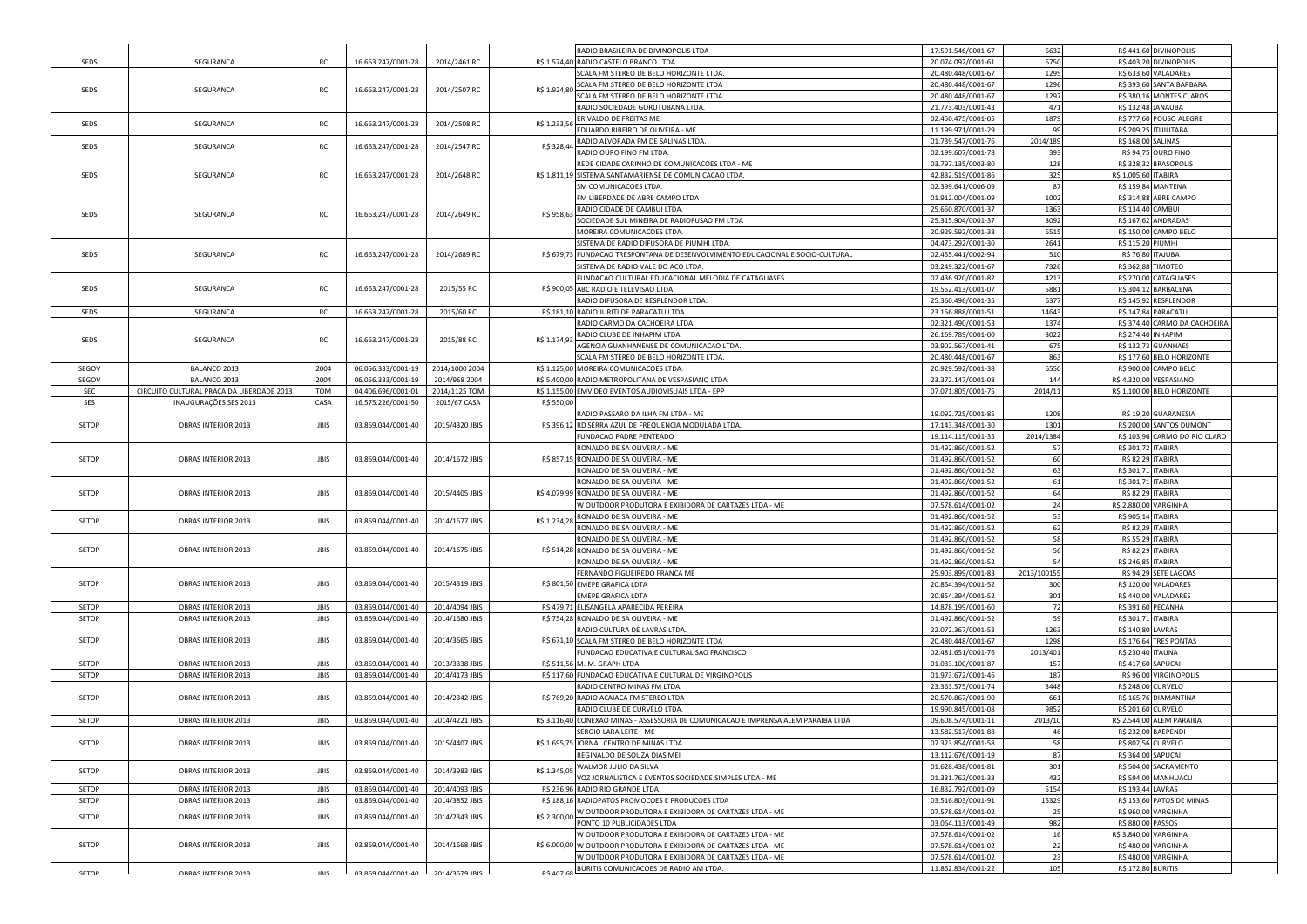|              |                                           |             |                    |                |              | RADIO BRASILEIRA DE DIVINOPOLIS LTDA                                                | 17.591.546/0001-67 | 6632        | R\$ 441,60 DIVINOPOLIS                |
|--------------|-------------------------------------------|-------------|--------------------|----------------|--------------|-------------------------------------------------------------------------------------|--------------------|-------------|---------------------------------------|
| SEDS         | SEGURANCA                                 | RC          | 16.663.247/0001-28 | 2014/2461 RC   |              | R\$ 1.574,40 RADIO CASTELO BRANCO LTDA.                                             | 20.074.092/0001-61 | 6750        | R\$ 403,20 DIVINOPOLIS                |
|              |                                           |             |                    |                |              | SCALA FM STEREO DE BELO HORIZONTE LTDA                                              | 20.480.448/0001-67 | 1295        | R\$ 633,60 VALADARES                  |
|              |                                           |             |                    |                |              |                                                                                     |                    | 1296        | R\$ 393,60 SANTA BARBARA              |
| SEDS         | SEGURANCA                                 | RC          | 16.663.247/0001-28 | 2014/2507 RC   | R\$ 1.924,80 | SCALA FM STEREO DE BELO HORIZONTE LTDA                                              | 20.480.448/0001-67 |             |                                       |
|              |                                           |             |                    |                |              | SCALA FM STEREO DE BELO HORIZONTE LTDA                                              | 20.480.448/0001-67 | 1297        | R\$ 380,16 MONTES CLAROS              |
|              |                                           |             |                    |                |              | RADIO SOCIEDADE GORUTUBANA LTDA                                                     | 21.773.403/0001-43 | 471         | R\$ 132,48 JANAUBA                    |
| SEDS         | SEGURANCA                                 | RC          | 16.663.247/0001-28 | 2014/2508 RC   | R\$ 1.233,5  | ERIVALDO DE FREITAS ME                                                              | 02.450.475/0001-05 | 1879        | POUSO ALEGRE<br>R\$ 777,60            |
|              |                                           |             |                    |                |              | EDUARDO RIBEIRO DE OLIVEIRA - ME                                                    | 11.199.971/0001-29 | - 99        | R\$ 209,25 ITUIUTABA                  |
|              |                                           |             |                    |                |              | RADIO ALVORADA FM DE SALINAS LTDA                                                   | 01.739.547/0001-76 | 2014/189    | R\$ 168,00 SALINAS                    |
| SEDS         | SEGURANCA                                 | RC          | 16.663.247/0001-28 | 2014/2547 RC   | R\$ 328,4    | RADIO OURO FINO FM LTDA.                                                            | 02.199.607/0001-78 | 393         | R\$ 94,75 OURO FINO                   |
|              |                                           |             |                    |                |              |                                                                                     |                    |             |                                       |
|              |                                           |             |                    |                |              | REDE CIDADE CARINHO DE COMUNICACOES LTDA - ME                                       | 03.797.135/0003-80 | 128         | R\$ 328,32<br><b>BRASOPOLIS</b>       |
| SEDS         | SEGURANCA                                 | RC          | 16.663.247/0001-28 | 2014/2648 RC   |              | R\$ 1.811,19 SISTEMA SANTAMARIENSE DE COMUNICACAO LTDA.                             | 42.832.519/0001-86 | 325         | R\$ 1.005,60 ITABIRA                  |
|              |                                           |             |                    |                |              | SM COMUNICACOES LTDA                                                                | 02.399.641/0006-09 | 87          | R\$ 159,84 MANTENA                    |
|              |                                           |             |                    |                |              | FM LIBERDADE DE ABRE CAMPO LTDA                                                     | 01.912.004/0001-09 | 1002        | R\$ 314,88 ABRE CAMPO                 |
|              |                                           |             |                    |                |              | RADIO CIDADE DE CAMBUI LTDA.                                                        | 25.650.870/0001-37 | 1363        | R\$ 134,40 CAMBUI                     |
| SEDS         | SEGURANCA                                 | RC          | 16.663.247/0001-28 | 2014/2649 RC   | R\$ 958,63   | SOCIEDADE SUL MINEIRA DE RADIOFUSAO FM LTDA                                         | 25.315.904/0001-37 | 3092        | R\$ 167,62<br><b>NDRADAS</b>          |
|              |                                           |             |                    |                |              |                                                                                     |                    | 6515        |                                       |
|              |                                           |             |                    |                |              | MOREIRA COMUNICACOES LTDA.                                                          | 20.929.592/0001-38 |             | R\$ 150,00 CAMPO BELO                 |
|              |                                           |             |                    |                |              | SISTEMA DE RADIO DIFUSORA DE PIUMHI LTDA                                            | 04.473.292/0001-30 | 2641        | R\$ 115,20<br>PIUMHI                  |
| SEDS         | SEGURANCA                                 | RC          | 16.663.247/0001-28 | 2014/2689 RC   |              | R\$ 679,73 FUNDACAO TRESPONTANA DE DESENVOLVIMENTO EDUCACIONAL E SOCIO-CULTURAL     | 02.455.441/0002-94 | 510         | R\$ 76,80 ITAJUBA                     |
|              |                                           |             |                    |                |              | SISTEMA DE RADIO VALE DO ACO LTDA                                                   | 03.249.322/0001-67 | 7326        | R\$ 362,88<br><b>TIMOTEO</b>          |
|              |                                           |             |                    |                |              | FUNDACAO CULTURAL EDUCACIONAL MELODIA DE CATAGUASES                                 | 02.436.920/0001-82 | 4213        | R\$ 270,00 CATAGUASES                 |
| SEDS         | SEGURANCA                                 | RC          | 16.663.247/0001-28 | 2015/55 RC     |              | R\$ 900,05 ABC RADIO E TELEVISAO LTDA                                               | 19.552.413/0001-07 | 5881        | R\$ 304,12 BARBACENA                  |
|              |                                           |             |                    |                |              | RADIO DIFUSORA DE RESPLENDOR LTDA.                                                  | 25.360.496/0001-35 | 637         | R\$ 145,92<br>RESPLENDOR              |
|              |                                           |             |                    |                |              |                                                                                     |                    |             |                                       |
| SEDS         | SEGURANCA                                 | RC          | 16.663.247/0001-28 | 2015/60 RC     |              | R\$ 181,10 RADIO JURITI DE PARACATU LTDA                                            | 23.156.888/0001-51 | 14643       | R\$ 147,84<br>PARACATU                |
|              |                                           |             |                    |                |              | RADIO CARMO DA CACHOEIRA LTDA                                                       | 02.321.490/0001-53 | 1374        | R\$ 374,40<br>CARMO DA CACHOEIRA      |
|              |                                           | RC          |                    |                |              | RADIO CLUBE DE INHAPIM LTDA.                                                        | 26.169.789/0001-00 | 3022        | R\$ 274,40 INHAPIM                    |
| SEDS         | SEGURANCA                                 |             | 16.663.247/0001-28 | 2015/88 RC     | R\$ 1.174,93 | AGENCIA GUANHANENSE DE COMUNICACAO LTDA                                             | 03.902.567/0001-41 | 675         | R\$ 132,73<br><b>GUANHAES</b>         |
|              |                                           |             |                    |                |              | SCALA FM STEREO DE BELO HORIZONTE LTDA                                              | 20.480.448/0001-67 | 863         | R\$ 177,60 BELO HORIZONTE             |
| SEGOV        | BALANCO 2013                              | 2004        | 06.056.333/0001-19 | 2014/1000 2004 |              | R\$ 1.125.00 MOREIRA COMUNICACOES LTDA                                              | 20.929.592/0001-38 | 6550        | R\$ 900.00<br>CAMPO BELO              |
|              |                                           |             |                    |                |              |                                                                                     |                    |             |                                       |
| SEGOV        | BALANCO 2013                              | 2004        | 06.056.333/0001-19 | 2014/968 2004  |              | R\$ 5.400,00 RADIO METROPOLITANA DE VESPASIANO LTDA.                                | 23.372.147/0001-08 | 144         | R\$4.320,00<br>VESPASIANO             |
| SEC          | CIRCUITO CULTURAL PRACA DA LIBERDADE 2013 | TOM         | 04.406.696/0001-01 | 2014/1125 TOM  |              | R\$ 1.155,00 EMVIDEO EVENTOS AUDIOVISUAIS LTDA - EPP                                | 07.071.805/0001-75 | 2014/11     | R\$ 1.100,00<br><b>BELO HORIZONTE</b> |
| SES          | INAUGURAÇÕES SES 2013                     | CASA        | 16.575.226/0001-50 | 2015/67 CASA   | R\$ 550,00   |                                                                                     |                    |             |                                       |
|              |                                           |             |                    |                |              | RADIO PASSARO DA ILHA FM LTDA - ME                                                  | 19.092.725/0001-85 | 1208        | R\$ 19,20 GUARANESIA                  |
| SETOP        | OBRAS INTERIOR 2013                       | <b>JBIS</b> | 03.869.044/0001-40 | 2015/4320 JBIS |              | R\$ 396,12 RD SERRA AZUL DE FREQUENCIA MODULADA LTDA.                               | 17.143.348/0001-30 | 1301        | R\$ 200,00 SANTOS DUMONT              |
|              |                                           |             |                    |                |              | FUNDACAO PADRE PENTEADO                                                             | 19.114.115/0001-35 | 2014/1384   | R\$ 103,96 CARMO DO RIO CLARO         |
|              |                                           |             |                    |                |              | RONALDO DE SA OLIVEIRA - ME                                                         | 01.492.860/0001-52 | -57         | R\$ 301,72<br>TABIRA                  |
|              |                                           |             |                    |                |              |                                                                                     |                    |             |                                       |
| SETOP        | OBRAS INTERIOR 2013                       | <b>JBIS</b> | 03.869.044/0001-40 | 2014/1672 JBIS |              | R\$ 857,15 RONALDO DE SA OLIVEIRA - ME                                              | 01.492.860/0001-52 | 60          | R\$ 82,29<br>TABIRA                   |
|              |                                           |             |                    |                |              | RONALDO DE SA OLIVEIRA - ME                                                         | 01.492.860/0001-52 | 63          | R\$ 301,71<br>TABIRA                  |
|              |                                           |             |                    |                |              | RONALDO DE SA OLIVEIRA - ME                                                         | 01.492.860/0001-52 | 61          | R\$ 301,71<br>TABIRA                  |
| SETOP        | OBRAS INTERIOR 2013                       | JBIS        | 03.869.044/0001-40 | 2015/4405 JBIS |              | R\$ 4.079,99 RONALDO DE SA OLIVEIRA - ME                                            | 01.492.860/0001-52 | 64          | R\$ 82,29<br>TABIRA                   |
|              |                                           |             |                    |                |              | W OUTDOOR PRODUTORA E EXIBIDORA DE CARTAZES LTDA - ME                               | 07.578.614/0001-02 |             | R\$ 2.880,00<br><b>VARGINHA</b>       |
|              |                                           |             |                    |                |              | RONALDO DE SA OLIVEIRA - ME                                                         | 01.492.860/0001-52 | 53          | R\$ 905,14<br><b>TABIRA</b>           |
| SETOP        | OBRAS INTERIOR 2013                       | JBIS        | 03.869.044/0001-40 | 2014/1677 JBIS | R\$ 1.234,28 |                                                                                     |                    |             |                                       |
|              |                                           |             |                    |                |              | RONALDO DE SA OLIVEIRA - ME                                                         | 01.492.860/0001-52 | 62          | R\$ 82,29<br>TABIRA                   |
|              |                                           |             |                    |                |              | RONALDO DE SA OLIVEIRA - ME                                                         | 01.492.860/0001-52 | 58          | R\$ 55,29 ITABIRA                     |
| SETOP        | OBRAS INTERIOR 2013                       | JBIS        | 03.869.044/0001-40 | 2014/1675 JBIS |              | R\$ 514,28 RONALDO DE SA OLIVEIRA - ME                                              | 01.492.860/0001-52 | 56          | R\$ 82,29<br><b>TABIRA</b>            |
|              |                                           |             |                    |                |              | RONALDO DE SA OLIVEIRA - ME                                                         | 01.492.860/0001-52 | 54          | R\$ 246,85 ITABIRA                    |
|              |                                           |             |                    |                |              | FERNANDO FIGUEIREDO FRANCA ME                                                       | 25.903.899/0001-83 | 2013/100155 | R\$ 94,29 SETE LAGOAS                 |
| SETOP        | OBRAS INTERIOR 2013                       | <b>JBIS</b> | 03.869.044/0001-40 | 2015/4319 JBIS |              | R\$ 801,50 EMEPE GRAFICA LDTA                                                       | 20.854.394/0001-52 | 300         | R\$ 120,00<br>VALADARES               |
|              |                                           |             |                    |                |              | EMEPE GRAFICA LDTA                                                                  | 20.854.394/0001-52 | 301         | R\$ 440,00 VALADARES                  |
|              |                                           |             |                    |                |              |                                                                                     |                    |             |                                       |
| SETOP        | OBRAS INTERIOR 2013                       | <b>JBIS</b> | 03.869.044/0001-40 | 2014/4094 JBIS |              | R\$ 479,71 ELISANGELA APARECIDA PEREIRA                                             | 14.878.199/0001-60 |             | R\$ 391,60<br>PECANHA                 |
| SETOP        | OBRAS INTERIOR 2013                       | <b>JBIS</b> | 03.869.044/0001-40 | 2014/1680 JBIS |              | R\$ 754,28 RONALDO DE SA OLIVEIRA - ME                                              | 01.492.860/0001-52 | 59          | <b>ITABIRA</b><br>R\$ 301,71          |
|              |                                           |             |                    |                |              | RADIO CULTURA DE LAVRAS LTDA                                                        | 22.072.367/0001-53 | 1263        | R\$ 140,80<br>AVRAS                   |
| SETOP        | OBRAS INTERIOR 2013                       | <b>JBIS</b> | 03.869.044/0001-40 | 2014/3665 JBIS |              | R\$ 671,10 SCALA FM STEREO DE BELO HORIZONTE LTDA                                   | 20.480.448/0001-67 | 1298        | R\$ 176,64 TRES PONTAS                |
|              |                                           |             |                    |                |              | FUNDACAO EDUCATIVA E CULTURAL SAO FRANCISCO                                         | 02.481.651/0001-76 | 2013/401    | R\$ 230,40<br><b>TAUNA</b>            |
| SETOP        | OBRAS INTERIOR 2013                       | <b>JBIS</b> | 03.869.044/0001-40 | 2013/3338 JBIS |              | R\$ 511,56 M. M. GRAPH LTDA.                                                        | 01.033.100/0001-87 | 157         | R\$ 417,60 SAPUCAI                    |
| SETOP        | OBRAS INTERIOR 2013                       | <b>JBIS</b> | 03.869.044/0001-40 | 2014/4173 JBIS |              | R\$ 117,60 FUNDACAO EDUCATIVA E CULTURAL DE VIRGINOPOLIS                            | 01.973.672/0001-46 | 187         | R\$ 96,00 VIRGINOPOLIS                |
|              |                                           |             |                    |                |              |                                                                                     |                    |             |                                       |
|              |                                           |             |                    |                |              | RADIO CENTRO MINAS FM LTDA                                                          | 23.363.575/0001-74 | 3448        | R\$ 248,00<br>CURVELO                 |
| <b>SETOP</b> | OBRAS INTERIOR 2013                       | <b>JBIS</b> | 03.869.044/0001-40 | 2014/2342 JBIS |              | R\$ 769,20 RADIO ACAIACA FM STEREO LTDA                                             | 20.570.867/0001-90 | 661         | R\$ 165,76 DIAMANTINA                 |
|              |                                           |             |                    |                |              | RADIO CLUBE DE CURVELO LTDA                                                         | 19.990.845/0001-08 | 985         | R\$ 201,6<br>CURVELO                  |
| SETOP        | OBRAS INTERIOR 2013                       | <b>JBIS</b> | 03.869.044/0001-40 | 2014/4221 JBIS |              | R\$ 3.116,40 CONEXAO MINAS - ASSESSORIA DE COMUNICACAO E IMPRENSA ALEM PARAIBA LTDA | 09.608.574/0001-11 | 2013/10     | R\$ 2.544,00 ALEM PARAIBA             |
|              |                                           |             |                    |                |              | SERGIO LARA LEITE - ME                                                              | 13.582.517/0001-88 | 46          | R\$ 232,00<br><b>BAEPENDI</b>         |
| <b>SEIOP</b> | OBRAS INTERIOR 2013                       | JBIS        | 03.869.044/0001-40 | 2015/4407 JBIS |              | R\$ 1.695,75 JORNAL CENTRO DE MINAS LTDA.                                           | 07.323.854/0001-58 | -58         | <b>R\$ 802,56 CURVELO</b>             |
|              |                                           |             |                    |                |              | REGINALDO DE SOUZA DIAS MEI                                                         | 13.112.676/0001-19 | 87          |                                       |
|              |                                           |             |                    |                |              |                                                                                     |                    |             | R\$ 364,00 SAPUCAI                    |
| SETOP        | OBRAS INTERIOR 2013                       | <b>JBIS</b> | 03.869.044/0001-40 | 2014/3983 JBIS | R\$ 1.345,05 | WALMOR JULIO DA SILVA                                                               | 01.628.438/0001-81 | 301         | R\$ 504,00 SACRAMENTO                 |
|              |                                           |             |                    |                |              | VOZ JORNALISTICA E EVENTOS SOCIEDADE SIMPLES LTDA - ME                              | 01.331.762/0001-33 | 432         | R\$ 594,00 MANHUACU                   |
| SETOP        | OBRAS INTERIOR 2013                       | <b>JBIS</b> | 03.869.044/0001-40 | 2014/4093 JBIS |              | R\$ 236,96 RADIO RIO GRANDE LTDA.                                                   | 16.832.792/0001-09 | 5154        | R\$ 193,44 LAVRAS                     |
| SETOP        | OBRAS INTERIOR 2013                       | <b>JBIS</b> | 03.869.044/0001-40 | 2014/3852 JBIS |              | R\$ 188,16 RADIOPATOS PROMOCOES E PRODUCOES LTDA                                    | 03.516.803/0001-91 | 15329       | R\$ 153,60 PATOS DE MINAS             |
|              |                                           |             |                    |                |              | W OUTDOOR PRODUTORA E EXIBIDORA DE CARTAZES LTDA - ME                               | 07.578.614/0001-02 | 25          | R\$ 960,00 VARGINHA                   |
| SETOP        | OBRAS INTERIOR 2013                       | <b>JBIS</b> | 03.869.044/0001-40 | 2014/2343 JBIS | R\$ 2.300,00 | PONTO 10 PUBLICIDADES LTDA                                                          | 03.064.113/0001-49 | 982         | R\$ 880,00 PASSOS                     |
|              |                                           |             |                    |                |              | W OUTDOOR PRODUTORA E EXIBIDORA DE CARTAZES LTDA - ME                               |                    | 16          | R\$ 3.840,00 VARGINHA                 |
|              |                                           |             |                    |                |              |                                                                                     | 07.578.614/0001-02 |             |                                       |
| SETOP        | OBRAS INTERIOR 2013                       | JBIS        | 03.869.044/0001-40 | 2014/1668 JBIS |              | R\$ 6.000,00 W OUTDOOR PRODUTORA E EXIBIDORA DE CARTAZES LTDA - ME                  | 07.578.614/0001-02 | 22          | R\$ 480,00 VARGINHA                   |
|              |                                           |             |                    |                |              | W OUTDOOR PRODUTORA E EXIBIDORA DE CARTAZES LTDA - ME                               | 07.578.614/0001-02 | 23          | R\$ 480,00 VARGINHA                   |
| SFTOP        | <b>ORRAS INTERIOR 2013</b>                | <b>IRIS</b> | 03 869 044/0001-40 | 2014/3579 IRIS | RS 407 68    | BURITIS COMUNICACOES DE RADIO AM LTDA.                                              | 11.862.834/0001-22 | 105         | R\$ 172,80 BURITIS                    |
|              |                                           |             |                    |                |              |                                                                                     |                    |             |                                       |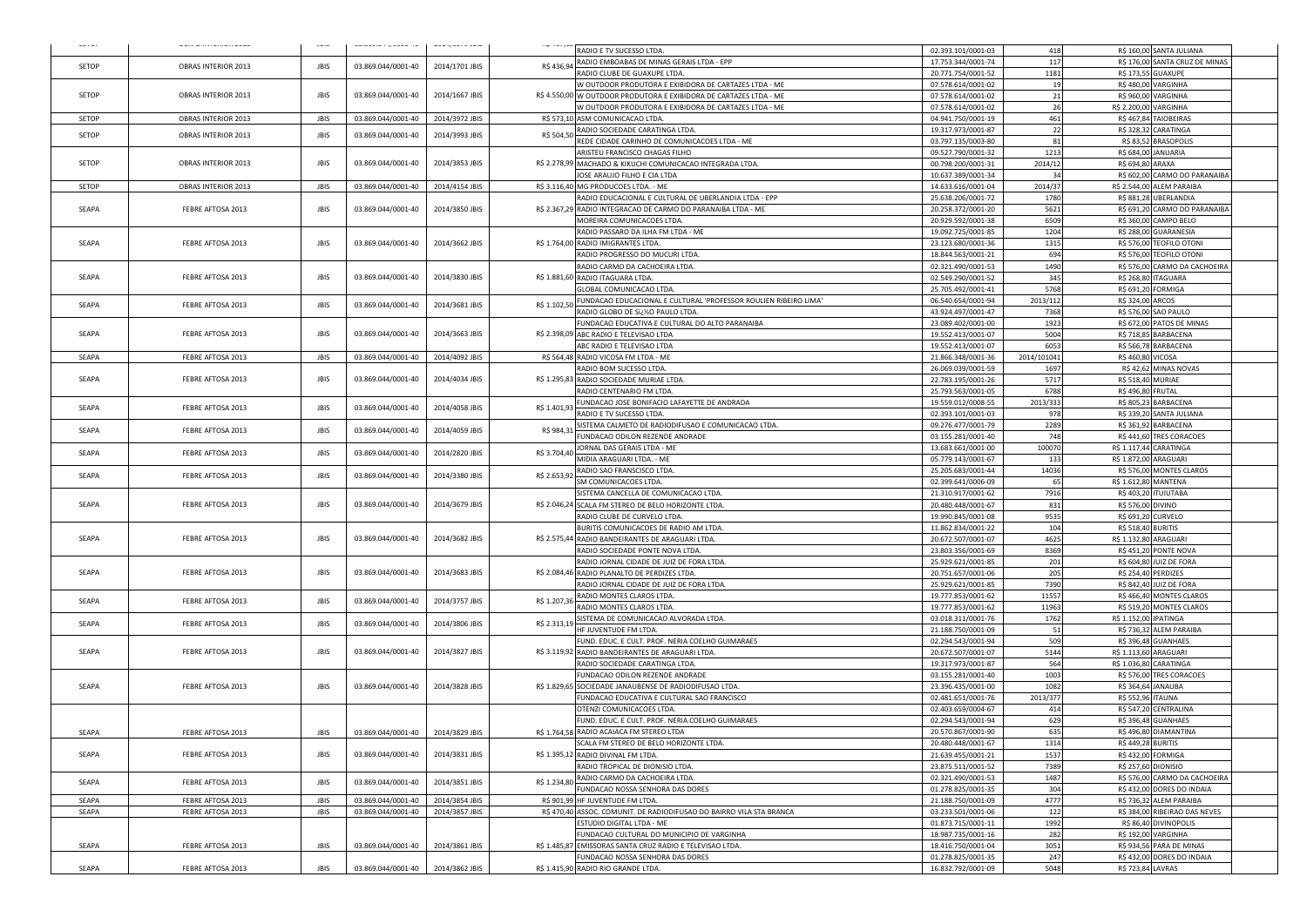| 36191        | <b>UPINY INTERNOT ZUZU</b> | ن الباد     | UU.UUU.UTTIUUUL TU | $\mathcal{L} \cup \mathcal{L} \cap \mathcal{L} \cup \mathcal{L} \cup \mathcal{L} \cup \mathcal{L} \cup \mathcal{L} \cup \mathcal{L} \cup \mathcal{L} \cup \mathcal{L} \cup \mathcal{L} \cup \mathcal{L} \cup \mathcal{L} \cup \mathcal{L} \cup \mathcal{L} \cup \mathcal{L} \cup \mathcal{L} \cup \mathcal{L} \cup \mathcal{L} \cup \mathcal{L} \cup \mathcal{L} \cup \mathcal{L} \cup \mathcal{L} \cup \mathcal{L} \cup \mathcal{L} \cup \mathcal{L} \cup \mathcal{L} \cup \mathcal{$ | $n\psi$ and $n\psi$ | RADIO E TV SUCESSO LTDA                                                                    | 02.393.101/0001-03                       | 418          | R\$ 160,00 SANTA JULIANA                       |  |
|--------------|----------------------------|-------------|--------------------|----------------------------------------------------------------------------------------------------------------------------------------------------------------------------------------------------------------------------------------------------------------------------------------------------------------------------------------------------------------------------------------------------------------------------------------------------------------------------------------|---------------------|--------------------------------------------------------------------------------------------|------------------------------------------|--------------|------------------------------------------------|--|
| SETOP        | OBRAS INTERIOR 2013        | <b>JBIS</b> | 03.869.044/0001-40 | 2014/1701 JBIS                                                                                                                                                                                                                                                                                                                                                                                                                                                                         | R\$ 436,94          | RADIO EMBOABAS DE MINAS GERAIS LTDA - EPP                                                  | 17.753.344/0001-74                       | 117          | R\$ 176,00 SANTA CRUZ DE MINAS                 |  |
|              |                            |             |                    |                                                                                                                                                                                                                                                                                                                                                                                                                                                                                        |                     | RADIO CLUBE DE GUAXUPE LTDA                                                                | 20.771.754/0001-52                       | 1181         | R\$ 173,55 GUAXUPE                             |  |
|              |                            |             |                    |                                                                                                                                                                                                                                                                                                                                                                                                                                                                                        |                     | W OUTDOOR PRODUTORA E EXIBIDORA DE CARTAZES LTDA - ME                                      | 07.578.614/0001-02                       | 19           | R\$ 480,00 VARGINHA                            |  |
| SETOP        | OBRAS INTERIOR 2013        | JBIS        | 03.869.044/0001-40 | 2014/1667 JBIS                                                                                                                                                                                                                                                                                                                                                                                                                                                                         |                     | R\$ 4.550,00 W OUTDOOR PRODUTORA E EXIBIDORA DE CARTAZES LTDA - ME                         | 07.578.614/0001-02                       | 21           | R\$ 960,00 VARGINHA                            |  |
|              |                            |             |                    |                                                                                                                                                                                                                                                                                                                                                                                                                                                                                        |                     | W OUTDOOR PRODUTORA E EXIBIDORA DE CARTAZES LTDA - ME                                      | 07.578.614/0001-02                       | 26           | R\$ 2.200,00 VARGINHA                          |  |
| SETOP        | OBRAS INTERIOR 2013        | <b>JBIS</b> | 03.869.044/0001-40 | 2014/3972 JBIS                                                                                                                                                                                                                                                                                                                                                                                                                                                                         |                     | R\$ 573,10 ASM COMUNICACAO LTDA                                                            | 04.941.750/0001-19                       | 461          | R\$ 467,84 TAIOBEIRAS                          |  |
| SETOP        | OBRAS INTERIOR 2013        | <b>JBIS</b> | 03.869.044/0001-40 | 2014/3993 JBIS                                                                                                                                                                                                                                                                                                                                                                                                                                                                         | R\$ 504,50          | RADIO SOCIEDADE CARATINGA LTDA.                                                            | 19.317.973/0001-87                       | 22           | R\$ 328,32 CARATINGA                           |  |
|              |                            |             |                    |                                                                                                                                                                                                                                                                                                                                                                                                                                                                                        |                     | REDE CIDADE CARINHO DE COMUNICACOES LTDA - ME                                              | 03.797.135/0003-80                       | 81           | R\$ 83,52 BRASOPOLIS                           |  |
|              |                            |             |                    |                                                                                                                                                                                                                                                                                                                                                                                                                                                                                        |                     | ARISTEU FRANCISCO CHAGAS FILHO                                                             | 09.527.790/0001-32                       | 1213         | R\$ 684,00 JANUARIA                            |  |
| SETOP        | OBRAS INTERIOR 2013        | JBIS        | 03.869.044/0001-40 | 2014/3853 JBIS                                                                                                                                                                                                                                                                                                                                                                                                                                                                         |                     | R\$ 2.278,99 MACHADO & KIKUCHI COMUNICACAO INTEGRADA LTDA.                                 | 00.798.200/0001-31                       | 2014/12      | R\$ 694,80 ARAXA                               |  |
|              |                            |             |                    |                                                                                                                                                                                                                                                                                                                                                                                                                                                                                        |                     | JOSE ARAUJO FILHO E CIA LTDA                                                               | 10.637.389/0001-34                       | 34           | R\$ 602,00 CARMO DO PARANAIBA                  |  |
| SETOP        | OBRAS INTERIOR 2013        | <b>JBIS</b> | 03.869.044/0001-40 | 2014/4154 JBIS                                                                                                                                                                                                                                                                                                                                                                                                                                                                         |                     | R\$ 3.116,40 MG PRODUCOES LTDA. - ME                                                       | 14.633.616/0001-04                       | 2014/37      | R\$ 2.544,00 ALEM PARAIBA                      |  |
|              | FEBRE AFTOSA 2013          |             |                    |                                                                                                                                                                                                                                                                                                                                                                                                                                                                                        |                     | RADIO EDUCACIONAL E CULTURAL DE UBERLANDIA LTDA - EPP                                      | 25.638.206/0001-72                       | 1780         | R\$ 881,28<br><b>UBERLANDIA</b>                |  |
| SEAPA        |                            | JBIS        | 03.869.044/0001-40 | 2014/3850 JBIS                                                                                                                                                                                                                                                                                                                                                                                                                                                                         |                     | R\$ 2.367,29 RADIO INTEGRACAO DE CARMO DO PARANAIBA LTDA - ME                              | 20.258.372/0001-20                       | 5621         | R\$ 691,20 CARMO DO PARANAIBA                  |  |
|              |                            |             |                    |                                                                                                                                                                                                                                                                                                                                                                                                                                                                                        |                     | MOREIRA COMUNICACOES LTDA                                                                  | 20.929.592/0001-38<br>19.092.725/0001-85 | 6509<br>1204 | R\$ 360,00 CAMPO BELO<br>R\$ 288,00 GUARANESIA |  |
| SEAPA        | FEBRE AFTOSA 2013          | <b>JBIS</b> | 03.869.044/0001-40 | 2014/3662 JBIS                                                                                                                                                                                                                                                                                                                                                                                                                                                                         |                     | RADIO PASSARO DA ILHA FM LTDA - ME<br>R\$ 1.764,00 RADIO IMIGRANTES LTDA.                  | 23.123.680/0001-36                       | 1315         | R\$ 576,00 TEOFILO OTONI                       |  |
|              |                            |             |                    |                                                                                                                                                                                                                                                                                                                                                                                                                                                                                        |                     | RADIO PROGRESSO DO MUCURI LTDA                                                             | 18.844.563/0001-21                       | 694          | R\$ 576,00 TEOFILO OTONI                       |  |
|              |                            |             |                    |                                                                                                                                                                                                                                                                                                                                                                                                                                                                                        |                     | RADIO CARMO DA CACHOEIRA LTDA.                                                             | 02.321.490/0001-53                       | 1490         | R\$ 576,00 CARMO DA CACHOEIRA                  |  |
| SEAPA        | FEBRE AFTOSA 2013          | JBIS        | 03.869.044/0001-40 | 2014/3830 JBIS                                                                                                                                                                                                                                                                                                                                                                                                                                                                         |                     | R\$ 1.881,60 RADIO ITAGUARA LTDA                                                           | 02.549.290/0001-52                       | 345          | R\$ 268,80 ITAGUARA                            |  |
|              |                            |             |                    |                                                                                                                                                                                                                                                                                                                                                                                                                                                                                        |                     | <b>GLOBAL COMUNICACAO LTDA</b>                                                             | 25.705.492/0001-41                       | 5768         | R\$ 691,20 FORMIGA                             |  |
|              |                            |             |                    |                                                                                                                                                                                                                                                                                                                                                                                                                                                                                        |                     | FUNDACAO EDUCACIONAL E CULTURAL 'PROFESSOR ROULIEN RIBEIRO LIMA'                           | 06.540.654/0001-94                       | 2013/112     | R\$ 324,00 ARCOS                               |  |
| SEAPA        | FEBRE AFTOSA 2013          | JBIS        | 03.869.044/0001-40 | 2014/3681 JBIS                                                                                                                                                                                                                                                                                                                                                                                                                                                                         | R\$ 1.102,50        | RADIO GLOBO DE SI¿%O PAULO LTDA.                                                           | 43.924.497/0001-47                       | 7368         | R\$ 576,00 SAO PAULO                           |  |
|              |                            |             |                    |                                                                                                                                                                                                                                                                                                                                                                                                                                                                                        |                     | FUNDACAO EDUCATIVA E CULTURAL DO ALTO PARANAIBA                                            | 23.089.402/0001-00                       | 1923         | R\$ 672,00 PATOS DE MINAS                      |  |
| SEAPA        | FEBRE AFTOSA 2013          | <b>JBIS</b> | 03.869.044/0001-40 | 2014/3663 JBIS                                                                                                                                                                                                                                                                                                                                                                                                                                                                         |                     | R\$ 2.398,09 ABC RADIO E TELEVISAO LTDA                                                    | 19.552.413/0001-07                       | 5004         | R\$ 718,85 BARBACENA                           |  |
|              |                            |             |                    |                                                                                                                                                                                                                                                                                                                                                                                                                                                                                        |                     | ABC RADIO E TELEVISAO LTDA                                                                 | 19.552.413/0001-07                       | 6053         | R\$ 566,78 BARBACENA                           |  |
| SEAPA        | FEBRE AFTOSA 2013          | <b>JBIS</b> | 03.869.044/0001-40 | 2014/4092 JBIS                                                                                                                                                                                                                                                                                                                                                                                                                                                                         |                     | R\$ 564,48 RADIO VICOSA FM LTDA - ME                                                       | 21.866.348/0001-36                       | 2014/101041  | R\$ 460,80 VICOSA                              |  |
|              |                            |             |                    |                                                                                                                                                                                                                                                                                                                                                                                                                                                                                        |                     | RADIO BOM SUCESSO LTDA.                                                                    | 26.069.039/0001-59                       | 1697         | R\$ 42,62 MINAS NOVAS                          |  |
| SEAPA        | FEBRE AFTOSA 2013          | JBIS        | 03.869.044/0001-40 | 2014/4034 JBIS                                                                                                                                                                                                                                                                                                                                                                                                                                                                         |                     | R\$ 1.295,83 RADIO SOCIEDADE MURIAE LTDA.                                                  | 22.783.195/0001-26                       | 5717         | R\$ 518,40 MURIAE                              |  |
|              |                            |             |                    |                                                                                                                                                                                                                                                                                                                                                                                                                                                                                        |                     | RADIO CENTENARIO FM LTDA.                                                                  | 25.793.563/0001-05                       | 6788         | R\$ 496,80 FRUTAL                              |  |
|              |                            |             | 03.869.044/0001-40 |                                                                                                                                                                                                                                                                                                                                                                                                                                                                                        |                     | UNDACAO JOSE BONIFACIO LAFAYETTE DE ANDRADA                                                | 19.559.012/0008-55                       | 2013/333     | R\$ 805,23 BARBACENA                           |  |
| SEAPA        | FEBRE AFTOSA 2013          | JBIS        |                    | 2014/4058 JBIS                                                                                                                                                                                                                                                                                                                                                                                                                                                                         | R\$ 1.401,93        | RADIO E TV SUCESSO LTDA                                                                    | 02.393.101/0001-03                       | 978          | R\$ 339,20 SANTA JULIANA                       |  |
| SEAPA        | FEBRE AFTOSA 2013          | <b>JBIS</b> |                    |                                                                                                                                                                                                                                                                                                                                                                                                                                                                                        | R\$ 984,3:          | SISTEMA CALMETO DE RADIODIFUSAO E COMUNICACAO LTDA.                                        | 09.276.477/0001-79                       | 2289         | R\$ 361,92 BARBACENA                           |  |
|              |                            |             | 03.869.044/0001-40 | 2014/4059 JBIS                                                                                                                                                                                                                                                                                                                                                                                                                                                                         |                     | FUNDACAO ODILON REZENDE ANDRADE                                                            | 03.155.281/0001-40                       | 748          | R\$ 441,60 TRES CORACOES                       |  |
| SEAPA        | FEBRE AFTOSA 2013          | <b>JBIS</b> | 03.869.044/0001-40 | 2014/2820 JBIS                                                                                                                                                                                                                                                                                                                                                                                                                                                                         | R\$ 3.704,40        | <b>ORNAL DAS GERAIS LTDA - ME</b>                                                          | 13.683.661/0001-00                       | 100070       | R\$ 1.117,44 CARATINGA                         |  |
|              |                            |             |                    |                                                                                                                                                                                                                                                                                                                                                                                                                                                                                        |                     | MIDIA ARAGUARI LTDA. - ME                                                                  | 05.779.143/0001-67                       | 133          | R\$ 1.872,00 ARAGUARI                          |  |
| SEAPA        | FEBRE AFTOSA 2013          | <b>JBIS</b> | 03.869.044/0001-40 | 2014/3380 JBIS                                                                                                                                                                                                                                                                                                                                                                                                                                                                         | R\$ 2.653,92        | RADIO SAO FRANSCISCO LTDA.                                                                 | 25.205.683/0001-44                       | 14036        | R\$ 576,00 MONTES CLAROS                       |  |
|              |                            |             |                    |                                                                                                                                                                                                                                                                                                                                                                                                                                                                                        |                     | SM COMUNICACOES LTDA                                                                       | 02.399.641/0006-09                       | 65           | R\$ 1.612,80 MANTENA                           |  |
|              |                            |             |                    |                                                                                                                                                                                                                                                                                                                                                                                                                                                                                        |                     | SISTEMA CANCELLA DE COMUNICACAO LTDA.                                                      | 21.310.917/0001-62                       | 7916         | R\$ 403,20<br><b>ITUIUTABA</b>                 |  |
| SEAPA        | FEBRE AFTOSA 2013          | JBIS        | 03.869.044/0001-40 | 2014/3679 JBIS                                                                                                                                                                                                                                                                                                                                                                                                                                                                         |                     | R\$ 2.046,24 SCALA FM STEREO DE BELO HORIZONTE LTDA.                                       | 20.480.448/0001-67                       | 831          | R\$ 576,00 DIVINO                              |  |
|              |                            |             |                    |                                                                                                                                                                                                                                                                                                                                                                                                                                                                                        |                     | RADIO CLUBE DE CURVELO LTDA                                                                | 19.990.845/0001-08                       | 9535         | R\$ 691,20 CURVELO                             |  |
|              |                            |             |                    |                                                                                                                                                                                                                                                                                                                                                                                                                                                                                        |                     | BURITIS COMUNICACOES DE RADIO AM LTDA.                                                     | 11.862.834/0001-22                       | 104          | R\$ 518,40 BURITIS                             |  |
| SEAPA        | FEBRE AFTOSA 2013          | JBIS        | 03.869.044/0001-40 | 2014/3682 JBIS                                                                                                                                                                                                                                                                                                                                                                                                                                                                         |                     | R\$ 2.575,44 RADIO BANDEIRANTES DE ARAGUARI LTDA                                           | 20.672.507/0001-07                       | 4625         | R\$ 1.132,80 ARAGUARI                          |  |
|              |                            |             |                    |                                                                                                                                                                                                                                                                                                                                                                                                                                                                                        |                     | RADIO SOCIEDADE PONTE NOVA LTDA.                                                           | 23.803.356/0001-69                       | 8369         | R\$ 451,20 PONTE NOVA                          |  |
| SEAPA        | FEBRE AFTOSA 2013          | <b>JBIS</b> | 03.869.044/0001-40 | 2014/3683 JBIS                                                                                                                                                                                                                                                                                                                                                                                                                                                                         |                     | RADIO JORNAL CIDADE DE JUIZ DE FORA LTDA.<br>R\$ 2.084,46 RADIO PLANALTO DE PERDIZES LTDA. | 25.929.621/0001-85                       | 201<br>205   | R\$ 604,80 JUIZ DE FORA                        |  |
|              |                            |             |                    |                                                                                                                                                                                                                                                                                                                                                                                                                                                                                        |                     | RADIO JORNAL CIDADE DE JUIZ DE FORA LTDA.                                                  | 20.751.657/0001-06                       | 7390         | R\$ 254,40 PERDIZES<br>R\$ 842,40 JUIZ DE FORA |  |
|              |                            |             |                    |                                                                                                                                                                                                                                                                                                                                                                                                                                                                                        |                     | RADIO MONTES CLAROS LTDA.                                                                  | 25.929.621/0001-85<br>19.777.853/0001-62 | 11557        | R\$ 466,40 MONTES CLAROS                       |  |
| SEAPA        | FEBRE AFTOSA 2013          | <b>JBIS</b> | 03.869.044/0001-40 | 2014/3757 JBIS                                                                                                                                                                                                                                                                                                                                                                                                                                                                         | R\$ 1.207,36        | RADIO MONTES CLAROS LTDA.                                                                  | 19.777.853/0001-62                       | 11963        | R\$ 519,20 MONTES CLAROS                       |  |
|              |                            |             |                    |                                                                                                                                                                                                                                                                                                                                                                                                                                                                                        |                     | SISTEMA DE COMUNICACAO ALVORADA LTDA.                                                      | 03.018.311/0001-76                       | 1762         | R\$ 1.152,00 IPATINGA                          |  |
| SEAPA        | FEBRE AFTOSA 2013          | <b>JBIS</b> | 03.869.044/0001-40 | 2014/3806 JBIS                                                                                                                                                                                                                                                                                                                                                                                                                                                                         | R\$ 2.313,19        | HF JUVENTUDE FM LTDA.                                                                      | 21.188.750/0001-09                       | 51           | R\$ 736,32 ALEM PARAIBA                        |  |
|              |                            |             |                    |                                                                                                                                                                                                                                                                                                                                                                                                                                                                                        |                     | FUND. EDUC. E CULT. PROF. NERIA COELHO GUIMARAES                                           | 02.294.543/0001-94                       | 509          | R\$ 396,48 GUANHAES                            |  |
| SEAPA        | FEBRE AFTOSA 2013          | <b>JBIS</b> | 03.869.044/0001-40 | 2014/3827 JBIS                                                                                                                                                                                                                                                                                                                                                                                                                                                                         |                     | R\$ 3.119,92 RADIO BANDEIRANTES DE ARAGUARI LTDA                                           | 20.672.507/0001-07                       | 5144         | R\$ 1.113,60 ARAGUARI                          |  |
|              |                            |             |                    |                                                                                                                                                                                                                                                                                                                                                                                                                                                                                        |                     | RADIO SOCIEDADE CARATINGA LTDA                                                             | 19.317.973/0001-87                       | 564          | R\$ 1.036,80 CARATINGA                         |  |
|              |                            |             |                    |                                                                                                                                                                                                                                                                                                                                                                                                                                                                                        |                     | UNDACAO ODILON REZENDE ANDRADE                                                             | 03.155.281/0001-40                       | 1003         | R\$ 576,00 TRES CORACOES                       |  |
| SEAPA        | FEBRE AFTOSA 2013          | <b>JBIS</b> | 03.869.044/0001-40 | 2014/3828 JBIS                                                                                                                                                                                                                                                                                                                                                                                                                                                                         |                     | R\$ 1.829,65 SOCIEDADE JANAUBENSE DE RADIODIFUSAO LTDA.                                    | 23.396.435/0001-00                       | 1082         | R\$ 364,64 JANAUBA                             |  |
|              |                            |             |                    |                                                                                                                                                                                                                                                                                                                                                                                                                                                                                        |                     | FUNDACAO EDUCATIVA E CULTURAL SAO FRANCISCO                                                | 02.481.651/0001-76                       | 2013/377     | R\$ 552,96<br>TAUNA                            |  |
|              |                            |             |                    |                                                                                                                                                                                                                                                                                                                                                                                                                                                                                        |                     | OTENZI COMUNICACOES LTDA                                                                   | 02.403.659/0004-67                       | 414          | R\$ 547,20 CENTRALINA                          |  |
|              |                            |             |                    |                                                                                                                                                                                                                                                                                                                                                                                                                                                                                        |                     | UND. EDUC. E CULT. PROF. NERIA COELHO GUIMARAES                                            | 02.294.543/0001-94                       | 629          | R\$ 396,48 GUANHAES                            |  |
| <b>SEAPA</b> | FEBRE AFTOSA 2013          | <b>JBIS</b> | 03.869.044/0001-40 | 2014/3829 JBIS                                                                                                                                                                                                                                                                                                                                                                                                                                                                         |                     | R\$ 1.764,58 RADIO ACAIACA FM STEREO LTDA                                                  | 20.570.867/0001-90                       | 635          | R\$ 496,80 DIAMANTINA                          |  |
|              |                            |             |                    |                                                                                                                                                                                                                                                                                                                                                                                                                                                                                        |                     | SCALA FM STEREO DE BELO HORIZONTE LTDA.                                                    | 20.480.448/0001-67                       | 1314         | R\$ 449,28 BURITIS                             |  |
| SEAPA        | FEBRE AFTOSA 2013          | <b>JBIS</b> | 03.869.044/0001-40 | 2014/3831 JBIS                                                                                                                                                                                                                                                                                                                                                                                                                                                                         |                     | R\$ 1.395,12 RADIO DIVINAL FM LTDA.                                                        | 21.639.455/0001-21                       | 1537         | R\$ 432,00 FORMIGA                             |  |
|              |                            |             |                    |                                                                                                                                                                                                                                                                                                                                                                                                                                                                                        |                     | RADIO TROPICAL DE DIONISIO LTDA.                                                           | 23.875.511/0001-52                       | 7389         | <b>R\$ 257.60 DIONISIO</b>                     |  |
| SEAPA        | FEBRE AFTOSA 2013          | <b>JBIS</b> | 03.869.044/0001-40 | 2014/3851 JBIS                                                                                                                                                                                                                                                                                                                                                                                                                                                                         | R\$ 1.234,80        | RADIO CARMO DA CACHOEIRA LTDA.                                                             | 02.321.490/0001-53                       | 1487         | R\$ 576,00 CARMO DA CACHOEIRA                  |  |
|              |                            |             |                    |                                                                                                                                                                                                                                                                                                                                                                                                                                                                                        |                     | UNDACAO NOSSA SENHORA DAS DORES                                                            | 01.278.825/0001-35                       | 304          | R\$ 432,00 DORES DO INDAIA                     |  |
| SEAPA        | FEBRE AFTOSA 2013          | <b>JBIS</b> | 03.869.044/0001-40 | 2014/3854 JBIS                                                                                                                                                                                                                                                                                                                                                                                                                                                                         | R\$ 901,99          | HF JUVENTUDE FM LTDA.                                                                      | 21.188.750/0001-09                       | 4777         | R\$ 736,32 ALEM PARAIBA                        |  |
| SEAPA        | FEBRE AFTOSA 2013          | <b>JBIS</b> | 03.869.044/0001-40 | 2014/3857 JBIS                                                                                                                                                                                                                                                                                                                                                                                                                                                                         |                     | R\$ 470,40 ASSOC. COMUNIT. DE RADIODIFUSAO DO BAIRRO VILA STA BRANCA                       | 03.233.501/0001-06                       | 122          | R\$ 384,00 RIBEIRAO DAS NEVES                  |  |
|              |                            |             |                    |                                                                                                                                                                                                                                                                                                                                                                                                                                                                                        |                     | ESTUDIO DIGITAL LTDA - ME                                                                  | 01.873.715/0001-11                       | 1992         | R\$ 86,40 DIVINOPOLIS                          |  |
|              |                            |             |                    |                                                                                                                                                                                                                                                                                                                                                                                                                                                                                        |                     | UNDACAO CULTURAL DO MUNICIPIO DE VARGINHA                                                  | 18.987.735/0001-16                       | 282          | R\$ 192,00 VARGINHA                            |  |
| SEAPA        | FEBRE AFTOSA 2013          | <b>JBIS</b> | 03.869.044/0001-40 | 2014/3861 JBIS                                                                                                                                                                                                                                                                                                                                                                                                                                                                         |                     | R\$ 1.485,87 EMISSORAS SANTA CRUZ RADIO E TELEVISAO LTDA.                                  | 18.416.750/0001-04                       | 3051         | R\$ 934,56 PARA DE MINAS                       |  |
|              |                            |             |                    |                                                                                                                                                                                                                                                                                                                                                                                                                                                                                        |                     | UNDACAO NOSSA SENHORA DAS DORES                                                            | 01.278.825/0001-35                       | 247          | R\$ 432,00 DORES DO INDAIA                     |  |
| SEAPA        | FEBRE AFTOSA 2013          | <b>JBIS</b> | 03.869.044/0001-40 | 2014/3862 JBIS                                                                                                                                                                                                                                                                                                                                                                                                                                                                         |                     | R\$ 1,415,90 RADIO RIO GRANDE LTDA.                                                        | 16.832.792/0001-09                       | 5048         | R\$ 723,84 LAVRAS                              |  |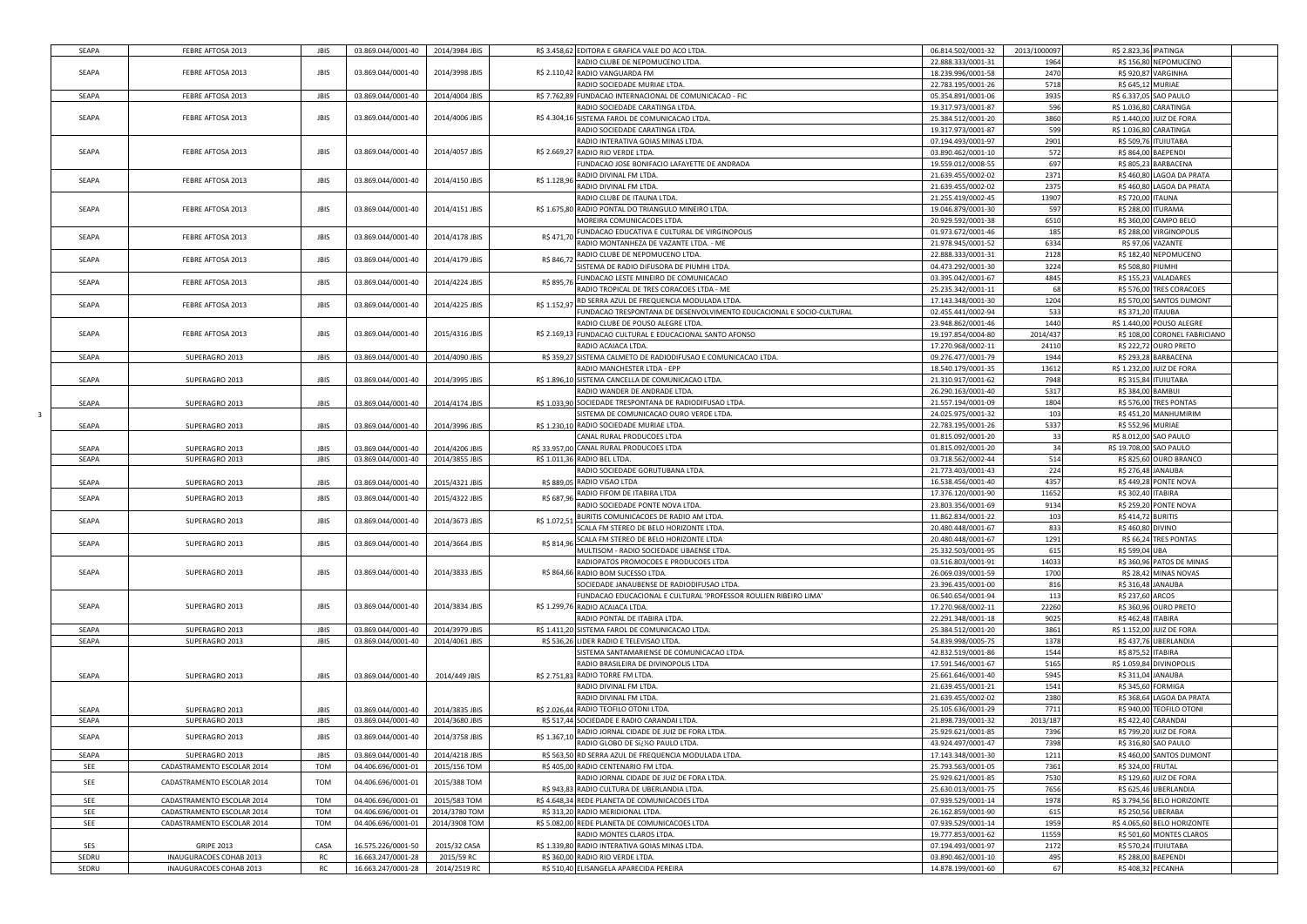| SEAPA        | FEBRE AFTOSA 2013          | <b>JBIS</b> | 03.869.044/0001-40 | 2014/3984 JBIS |              | R\$ 3.458,62 EDITORA E GRAFICA VALE DO ACO LTDA                      | 06.814.502/0001-32 | 2013/100009 | R\$ 2.823,36 IPATINGA |                             |  |
|--------------|----------------------------|-------------|--------------------|----------------|--------------|----------------------------------------------------------------------|--------------------|-------------|-----------------------|-----------------------------|--|
|              |                            |             |                    |                |              | RADIO CLUBE DE NEPOMUCENO LTDA                                       | 22.888.333/0001-31 | 1964        |                       | R\$ 156,80 NEPOMUCENO       |  |
| SEAPA        | FEBRE AFTOSA 2013          | <b>JBIS</b> | 03.869.044/0001-40 | 2014/3998 JBIS |              | R\$ 2.110,42 RADIO VANGUARDA FM                                      | 18.239.996/0001-58 | 2470        |                       | R\$ 920,87 VARGINHA         |  |
|              |                            |             |                    |                |              | RADIO SOCIEDADE MURIAE LTDA                                          | 22.783.195/0001-26 | 5718        | R\$ 645,12            | <b>MURIAE</b>               |  |
| SEAPA        | FEBRE AFTOSA 2013          | <b>JBIS</b> | 03.869.044/0001-40 | 2014/4004 JBIS |              | R\$ 7.762,89 FUNDACAO INTERNACIONAL DE COMUNICACAO - FIC             | 05.354.891/0001-06 | 3935        |                       | R\$ 6.337,05 SAO PAULO      |  |
|              |                            |             |                    |                |              | RADIO SOCIEDADE CARATINGA LTDA                                       | 19.317.973/0001-87 | 596         | R\$ 1.036,80          | CARATINGA                   |  |
| SEAPA        | FEBRE AFTOSA 2013          | <b>JBIS</b> | 03.869.044/0001-40 | 2014/4006 JBIS |              | R\$ 4.304,16 SISTEMA FAROL DE COMUNICACAO LTDA                       | 25.384.512/0001-20 | 3860        | R\$ 1.440,00          | UIZ DE FORA                 |  |
|              |                            |             |                    |                |              | RADIO SOCIEDADE CARATINGA LTDA                                       | 19.317.973/0001-87 | 599         | R\$ 1.036,80          | <b>CARATINGA</b>            |  |
|              |                            |             |                    |                |              | RADIO INTERATIVA GOIAS MINAS LTDA.                                   | 07.194.493/0001-97 | 2901        | R\$ 509,7             | <b>TUIUTABA</b>             |  |
| SEAPA        | FEBRE AFTOSA 2013          | <b>JBIS</b> | 03.869.044/0001-40 | 2014/4057 JBIS |              | R\$ 2.669,27 RADIO RIO VERDE LTDA.                                   | 03.890.462/0001-10 | 572         | R\$ 864,00            | BAEPENDI                    |  |
|              |                            |             |                    |                |              | FUNDACAO JOSE BONIFACIO LAFAYETTE DE ANDRADA                         | 19.559.012/0008-55 | 697         | R\$ 805,2             | <b>BARBACENA</b>            |  |
|              |                            |             |                    |                |              | RADIO DIVINAL FM LTDA.                                               | 21.639.455/0002-02 | 2371        |                       | R\$ 460,80 LAGOA DA PRATA   |  |
| SEAPA        | FEBRE AFTOSA 2013          | <b>JBIS</b> | 03.869.044/0001-40 | 2014/4150 JBIS | R\$ 1.128,96 | RADIO DIVINAL FM LTDA                                                | 21.639.455/0002-02 | 2375        | R\$ 460,80            | LAGOA DA PRATA              |  |
|              |                            |             |                    |                |              | RADIO CLUBE DE ITAUNA LTDA                                           | 21.255.419/0002-45 | 13907       | R\$ 720,00            | TAUNA                       |  |
| SEAPA        | FEBRE AFTOSA 2013          | <b>JBIS</b> | 03.869.044/0001-40 | 2014/4151 JBIS |              | R\$ 1.675,80 RADIO PONTAL DO TRIANGULO MINEIRO LTDA.                 | 19.046.879/0001-30 | 597         | R\$ 288,0             | <b>TURAMA</b>               |  |
|              |                            |             |                    |                |              | MOREIRA COMUNICACOES LTDA.                                           | 20.929.592/0001-38 | 6510        | R\$ 360,00            | <b>AMPO BELO</b>            |  |
|              |                            |             |                    |                |              | FUNDACAO EDUCATIVA E CULTURAL DE VIRGINOPOLIS                        | 01.973.672/0001-46 | 185         | R\$ 288,00            | VIRGINOPOLIS                |  |
| SEAPA        | FEBRE AFTOSA 2013          | <b>JBIS</b> | 03.869.044/0001-40 | 2014/4178 JBIS | R\$ 471,70   | RADIO MONTANHEZA DE VAZANTE LTDA. - ME                               | 21.978.945/0001-52 | 6334        | R\$ 97,06             | <b>AZANTE</b>               |  |
|              |                            |             |                    |                |              | RADIO CLUBE DE NEPOMUCENO LTDA                                       | 22.888.333/0001-31 | 2128        |                       | R\$ 182,40 NEPOMUCENO       |  |
| SEAPA        | FEBRE AFTOSA 2013          | <b>JBIS</b> | 03.869.044/0001-40 | 2014/4179 JBIS | R\$ 846,72   | SISTEMA DE RADIO DIFUSORA DE PIUMHI LTDA                             | 04.473.292/0001-30 | 3224        | R\$ 508,80            | <b>IHMUI</b>                |  |
|              |                            |             |                    |                |              | FUNDACAO LESTE MINEIRO DE COMUNICACAO                                | 03.395.042/0001-67 | 4845        |                       | R\$ 155,23 VALADARES        |  |
| SEAPA        | FEBRE AFTOSA 2013          | <b>JBIS</b> | 03.869.044/0001-40 | 2014/4224 JBIS | R\$ 895,7    | RADIO TROPICAL DE TRES CORACOES LTDA - ME                            | 25.235.342/0001-11 | 68          |                       | R\$ 576,00 TRES CORACOES    |  |
|              |                            |             |                    |                |              | RD SERRA AZUL DE FREQUENCIA MODULADA LTDA.                           | 17.143.348/0001-30 | 1204        |                       | R\$ 570,00 SANTOS DUMONT    |  |
| SEAPA        | FEBRE AFTOSA 2013          | <b>JBIS</b> | 03.869.044/0001-40 | 2014/4225 JBIS | R\$ 1.152,97 | FUNDACAO TRESPONTANA DE DESENVOLVIMENTO EDUCACIONAL E SOCIO-CULTURAL | 02.455.441/0002-94 | 533         | R\$ 371,2             | <b>TAJUBA</b>               |  |
|              |                            |             |                    |                |              | RADIO CLUBE DE POUSO ALEGRE LTDA                                     | 23.948.862/0001-46 | 1440        | R\$ 1.440,0           | OUSO ALEGRE                 |  |
| SEAPA        | FEBRE AFTOSA 2013          | <b>JBIS</b> | 03.869.044/0001-40 | 2015/4316 JBIS |              | R\$ 2.169,13 FUNDACAO CULTURAL E EDUCACIONAL SANTO AFONSO            | 19.197.854/0004-80 | 2014/437    | R\$ 108,00            | CORONEL FABRICIANO          |  |
|              |                            |             |                    |                |              | RADIO ACAIACA LTDA.                                                  | 17.270.968/0002-11 | 24110       | R\$ 222,72            | OURO PRETO                  |  |
|              |                            |             |                    |                |              | R\$ 359,27 SISTEMA CALMETO DE RADIODIFUSAO E COMUNICACAO LTDA.       |                    |             |                       | R\$ 293,28 BARBACENA        |  |
| SEAPA        | SUPERAGRO 2013             | <b>JBIS</b> | 03.869.044/0001-40 | 2014/4090 JBIS |              |                                                                      | 09.276.477/0001-79 | 1944        |                       |                             |  |
|              |                            |             |                    |                |              | RADIO MANCHESTER LTDA - EPP                                          | 18.540.179/0001-35 | 13612       | R\$ 1.232,00          | UIZ DE FORA                 |  |
| SEAPA        | SUPERAGRO 2013             | <b>JBIS</b> | 03.869.044/0001-40 | 2014/3995 JBIS |              | R\$ 1.896,10 SISTEMA CANCELLA DE COMUNICACAO LTDA.                   | 21.310.917/0001-62 | 7948        |                       | R\$ 315,84 ITUIUTABA        |  |
|              |                            |             |                    |                |              | RADIO WANDER DE ANDRADE LTDA                                         | 26.290.163/0001-40 | 5317        | R\$ 384,00 BAMBUI     |                             |  |
| SEAPA        | SUPERAGRO 2013             | <b>JBIS</b> | 03.869.044/0001-40 | 2014/4174 JBIS |              | R\$ 1.033,90 SOCIEDADE TRESPONTANA DE RADIODIFUSAO LTDA.             | 21.557.194/0001-09 | 1804        |                       | R\$ 576,00 TRES PONTAS      |  |
|              |                            |             |                    |                |              | SISTEMA DE COMUNICACAO OURO VERDE LTDA.                              | 24.025.975/0001-32 | 103         | R\$ 451,2             | MANHUMIRIM                  |  |
| SEAPA        | SUPERAGRO 2013             | <b>JBIS</b> | 03.869.044/0001-40 | 2014/3996 JBIS |              | R\$ 1.230.10 RADIO SOCIEDADE MURIAE LTDA                             | 22.783.195/0001-26 | 5337        | R\$ 552,9             | MURIAE                      |  |
|              |                            |             |                    |                |              | CANAL RURAL PRODUCOES LTDA                                           | 01.815.092/0001-20 | 33          | R\$ 8.012,00          | SAO PAULO                   |  |
| SEAPA        | SUPERAGRO 2013             | <b>JBIS</b> | 03.869.044/0001-40 | 2014/4206 JBIS |              | R\$ 33.957,00 CANAL RURAL PRODUCOES LTDA                             | 01.815.092/0001-20 | 34          | R\$ 19.708,00         | SAO PAULO                   |  |
| SEAPA        | SUPERAGRO 2013             | <b>JBIS</b> | 03.869.044/0001-40 | 2014/3855 JBIS |              | R\$ 1.011,36 RADIO BEL LTDA.                                         | 03.718.562/0002-44 | 514         |                       | R\$ 825,60 OURO BRANCO      |  |
|              |                            |             |                    |                |              | RADIO SOCIEDADE GORUTUBANA LTDA.                                     | 21.773.403/0001-43 | 224         | R\$ 276,48            | ANAUBA                      |  |
| SEAPA        | SUPERAGRO 2013             | <b>JBIS</b> | 03.869.044/0001-40 | 2015/4321 JBIS |              | R\$ 889,05 RADIO VISAO LTDA                                          | 16.538.456/0001-40 | 4357        | R\$ 449,28            | PONTE NOVA                  |  |
| SEAPA        | SUPERAGRO 2013             | <b>JBIS</b> | 03.869.044/0001-40 | 2015/4322 JBIS | R\$ 687,96   | RADIO FIFOM DE ITABIRA LTDA                                          | 17.376.120/0001-90 | 11652       | R\$ 302,40            | TABIRA                      |  |
|              |                            |             |                    |                |              | RADIO SOCIEDADE PONTE NOVA LTDA                                      | 23.803.356/0001-69 | 9134        | R\$ 259,20            | ONTE NOVA                   |  |
| SEAPA        | SUPERAGRO 2013             | <b>JBIS</b> | 03.869.044/0001-40 | 2014/3673 JBIS | R\$ 1.072,51 | BURITIS COMUNICACOES DE RADIO AM LTDA.                               | 11.862.834/0001-22 | 103         | R\$ 414,7             | <b>BURITIS</b>              |  |
|              |                            |             |                    |                |              | SCALA FM STEREO DE BELO HORIZONTE LTDA                               | 20.480.448/0001-67 | 833         | R\$ 460,80            | <b>IVINO</b>                |  |
| SEAPA        | SUPERAGRO 2013             | <b>JBIS</b> | 03.869.044/0001-40 | 2014/3664 JBIS | R\$ 814,9    | SCALA FM STEREO DE BELO HORIZONTE LTDA                               | 20.480.448/0001-67 | 1291        |                       | R\$ 66,24 TRES PONTAS       |  |
|              |                            |             |                    |                |              | MULTISOM - RADIO SOCIEDADE UBAENSE LTDA                              | 25.332.503/0001-95 | 615         | R\$ 599,04            | <b>IRA</b>                  |  |
|              |                            |             |                    |                |              | RADIOPATOS PROMOCOES E PRODUCOES LTDA                                | 03.516.803/0001-91 | 14033       |                       | R\$ 360,96 PATOS DE MINAS   |  |
| SEAPA        | SUPERAGRO 2013             | <b>JBIS</b> | 03.869.044/0001-40 | 2014/3833 JBIS |              | R\$ 864,66 RADIO BOM SUCESSO LTDA                                    | 26.069.039/0001-59 | 1700        |                       | R\$ 28,42 MINAS NOVAS       |  |
|              |                            |             |                    |                |              | SOCIEDADE JANAUBENSE DE RADIODIFUSAO LTDA.                           | 23.396.435/0001-00 | 816         | R\$ 316,48            | <b>JANAUBA</b>              |  |
|              |                            |             |                    |                |              | FUNDACAO EDUCACIONAL E CULTURAL 'PROFESSOR ROULIEN RIBEIRO LIMA'     | 06.540.654/0001-94 | 113         | R\$ 237,60            | ARCOS                       |  |
| SEAPA        | SUPERAGRO 2013             | <b>JBIS</b> | 03.869.044/0001-40 | 2014/3834 JBIS |              | R\$ 1.299,76 RADIO ACAIACA LTDA.                                     | 17.270.968/0002-11 | 22260       | R\$ 360,96            | <b>DURO PRETO</b>           |  |
|              |                            |             |                    |                |              | RADIO PONTAL DE ITABIRA LTDA                                         | 22.291.348/0001-18 | 9025        | R\$ 462,48            | TABIRA                      |  |
| SEAPA        | SUPERAGRO 2013             | <b>JBIS</b> | 03.869.044/0001-40 | 2014/3979 JBIS |              | R\$ 1.411,20 SISTEMA FAROL DE COMUNICACAO LTDA.                      | 25.384.512/0001-20 | 3861        | R\$ 1.152,00          | UIZ DE FORA                 |  |
| SEAPA        | SUPERAGRO 2013             | JBIS        | 03.869.044/0001-40 | 2014/4061 JBIS |              | R\$ 536,26 LIDER RADIO E TELEVISAO LTDA.                             | 54.839.998/0005-75 | 1378        | R\$ 437,76            | UBERLANDIA                  |  |
|              |                            |             |                    |                |              | SISTEMA SANTAMARIENSE DE COMUNICACAO LTDA.                           | 42.832.519/0001-86 | 1544        | R\$ 875,5             | TABIRA                      |  |
|              |                            |             |                    |                |              | RADIO BRASILEIRA DE DIVINOPOLIS LTDA                                 | 17.591.546/0001-67 | 5165        | R\$ 1.059,84          | <b>DIVINOPOLIS</b>          |  |
| SEAPA        | SUPERAGRO 2013             | <b>JBIS</b> | 03.869.044/0001-40 | 2014/449 JBIS  |              | R\$ 2.751,83 RADIO TORRE FM LTDA                                     | 25.661.646/0001-40 | 5945        | R\$ 311,04            | <b>JANAUBA</b>              |  |
|              |                            |             |                    |                |              | RADIO DIVINAL FM LTDA                                                | 21.639.455/0001-21 | 1541        | R\$ 345,60            | ORMIGA                      |  |
|              |                            |             |                    |                |              | RADIO DIVINAL FM LTDA                                                | 21.639.455/0002-02 | 2380        | R\$ 368,64            | AGOA DA PRATA               |  |
| SEAPA        | SUPERAGRO 2013             | <b>JBIS</b> | 03.869.044/0001-40 | 2014/3835 JBIS |              | R\$ 2.026.44 RADIO TEOFILO OTONI LTDA.                               | 25.105.636/0001-29 | 7711        | R\$ 940,00            | <b>FEOFILO OTONI</b>        |  |
| SEAPA        | SUPERAGRO 2013             | <b>JBIS</b> | 03.869.044/0001-40 | 2014/3680 JBIS |              | R\$ 517,44 SOCIEDADE E RADIO CARANDAI LTDA.                          | 21.898.739/0001-32 | 2013/187    | R\$422,40             | <b>CARANDAI</b>             |  |
| SEAPA        | SUPERAGRO 2013             | <b>JBIS</b> | 03.869.044/0001-40 | 2014/3758 JBIS | R\$ 1.367,10 | RADIO JORNAL CIDADE DE JUIZ DE FORA LTDA                             | 25.929.621/0001-85 | 7396        | R\$ 799,2             | <b>JIZ DE FORA</b>          |  |
|              |                            |             |                    |                |              | RADIO GLOBO DE S�O PAULO LTDA.                                       | 43.924.497/0001-47 | 7398        |                       | R\$ 316,80 SAO PAULO        |  |
| <b>SEAPA</b> | SUPERAGRO 2013             | <b>JBIS</b> | 03.869.044/0001-40 | 2014/4218 JBIS |              | R\$ 563,50 RD SERRA AZUL DE FREQUENCIA MODULADA LTDA.                | 17.143.348/0001-30 | 1211        |                       | R\$ 460,00 SANTOS DUMONT    |  |
| SEE          | CADASTRAMENTO ESCOLAR 2014 | <b>TOM</b>  | 04.406.696/0001-01 | 2015/156 TOM   |              | R\$ 405.00 RADIO CENTENARIO FM LTDA.                                 | 25.793.563/0001-05 | 7361        | R\$ 324,00 FRUTAL     |                             |  |
| SEE          | CADASTRAMENTO ESCOLAR 2014 | <b>TOM</b>  | 04.406.696/0001-01 | 2015/388 TOM   |              | RADIO JORNAL CIDADE DE JUIZ DE FORA LTDA.                            | 25.929.621/0001-85 | 7530        |                       | R\$ 129,60 JUIZ DE FORA     |  |
|              |                            |             |                    |                |              | R\$ 943.83 RADIO CULTURA DE UBERLANDIA LTDA.                         | 25.630.013/0001-75 | 7656        |                       | R\$ 625,46 UBERLANDIA       |  |
| SEE          | CADASTRAMENTO ESCOLAR 2014 | TOM         | 04.406.696/0001-01 | 2015/583 TOM   |              | R\$ 4.648.34 REDE PLANETA DE COMUNICACOES LTDA                       | 07.939.529/0001-14 | 1978        |                       | R\$ 3.794,56 BELO HORIZONTE |  |
| SEE          | CADASTRAMENTO ESCOLAR 2014 | <b>TOM</b>  | 04.406.696/0001-01 | 2014/3780 TOM  |              | R\$ 313,20 RADIO MERIDIONAL LTDA.                                    | 26.162.859/0001-90 | 615         |                       | R\$ 250,56 UBERABA          |  |
| SEE          | CADASTRAMENTO ESCOLAR 2014 | <b>TOM</b>  | 04.406.696/0001-01 | 2014/3908 TOM  |              | R\$ 5.082,00 REDE PLANETA DE COMUNICACOES LTDA                       | 07.939.529/0001-14 | 1959        |                       | R\$ 4.065,60 BELO HORIZONTE |  |
|              |                            |             |                    |                |              | RADIO MONTES CLAROS LTDA.                                            | 19.777.853/0001-62 | 11559       |                       | R\$ 501,60 MONTES CLAROS    |  |
| SES          | <b>GRIPE 2013</b>          | CASA        | 16.575.226/0001-50 | 2015/32 CASA   |              | R\$ 1.339,80 RADIO INTERATIVA GOIAS MINAS LTDA.                      | 07.194.493/0001-97 | 2172        |                       | R\$ 570,24 ITUIUTABA        |  |
| SEDRU        | INAUGURACOES COHAB 2013    | RC          | 16.663.247/0001-28 | 2015/59 RC     |              | R\$ 360,00 RADIO RIO VERDE LTDA.                                     | 03.890.462/0001-10 | 495         |                       | R\$ 288,00 BAEPENDI         |  |
| SEDRU        | INAUGURACOES COHAB 2013    | RC          | 16.663.247/0001-28 | 2014/2519 RC   |              | R\$ 510,40 ELISANGELA APARECIDA PEREIRA                              | 14.878.199/0001-60 | 67          |                       | R\$ 408,32 PECANHA          |  |

3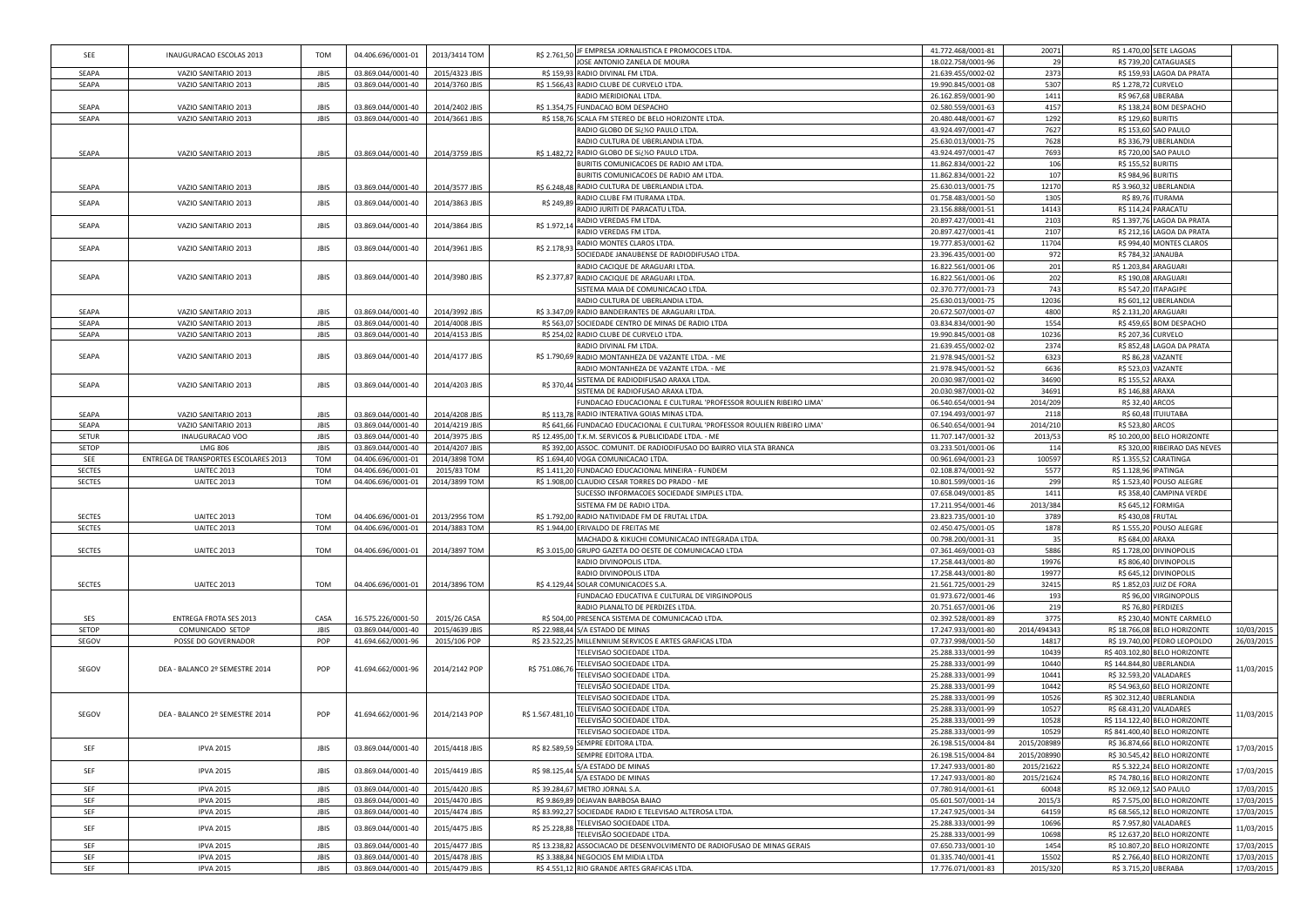|               |                                       |                            |                                                         |                | JF EMPRESA JORNALISTICA E PROMOCOES LTDA.                                           | 41.772.468/0001-81                       | 20071             |                      | R\$ 1.470,00 SETE LAGOAS      |                                                      |
|---------------|---------------------------------------|----------------------------|---------------------------------------------------------|----------------|-------------------------------------------------------------------------------------|------------------------------------------|-------------------|----------------------|-------------------------------|------------------------------------------------------|
| SEE           | INAUGURACAO ESCOLAS 2013              | <b>TOM</b>                 | 04.406.696/0001-01                                      | 2013/3414 TOM  | R\$ 2.761,50<br>OSE ANTONIO ZANELA DE MOURA                                         | 18.022.758/0001-96                       | 29                |                      | R\$ 739,20 CATAGUASES         |                                                      |
| SEAPA         | VAZIO SANITARIO 2013                  | <b>JBIS</b>                | 03.869.044/0001-40                                      | 2015/4323 JBIS | R\$ 159,93 RADIO DIVINAL FM LTDA.                                                   | 21.639.455/0002-02                       | 2373              |                      | R\$ 159,93 LAGOA DA PRATA     |                                                      |
| SEAPA         | VAZIO SANITARIO 2013                  | <b>JBIS</b>                | 03.869.044/0001-40                                      | 2014/3760 JBIS | R\$ 1.566,43 RADIO CLUBE DE CURVELO LTDA                                            | 19.990.845/0001-08                       | 5307              | R\$ 1.278,72         | CURVELO                       |                                                      |
|               |                                       |                            |                                                         |                | ADIO MERIDIONAL LTDA.                                                               | 26.162.859/0001-90                       | 1411              |                      | R\$ 967,68 UBERABA            |                                                      |
| SEAPA         |                                       | <b>JBIS</b>                |                                                         | 2014/2402 JBIS | R\$ 1.354,75 FUNDACAO BOM DESPACHO                                                  | 02.580.559/0001-63                       | 4157              |                      | R\$ 138,24 BOM DESPACHO       |                                                      |
|               | VAZIO SANITARIO 2013                  |                            | 03.869.044/0001-40                                      |                |                                                                                     |                                          |                   |                      |                               |                                                      |
| SEAPA         | VAZIO SANITARIO 2013                  | <b>JBIS</b>                | 03.869.044/0001-40                                      | 2014/3661 JBIS | R\$ 158,76<br>SCALA FM STEREO DE BELO HORIZONTE LTDA.                               | 20.480.448/0001-67                       | 1292              | R\$ 129,60           | <b>BURITIS</b>                |                                                      |
|               |                                       |                            |                                                         |                | RADIO GLOBO DE SI¿%O PAULO LTDA                                                     | 43.924.497/0001-47                       | 7627              | R\$ 153,60           | SAO PAULO                     |                                                      |
|               |                                       |                            |                                                         |                | RADIO CULTURA DE UBERLANDIA LTDA                                                    | 25.630.013/0001-75                       | 7628              | R\$ 336,79           | JBERLANDIA                    |                                                      |
| SEAPA         | VAZIO SANITARIO 2013                  | <b>JBIS</b>                | 03.869.044/0001-40                                      | 2014/3759 JBIS | R\$ 1.482,72 RADIO GLOBO DE Sï¿%O PAULO LTDA.                                       | 43.924.497/0001-47                       | 7693              |                      | R\$ 720,00 SAO PAULO          |                                                      |
|               |                                       |                            |                                                         |                | <b>IURITIS COMUNICACOES DE RADIO AM LTDA</b>                                        | 11.862.834/0001-22                       | 106               | R\$ 155,5            | <b>BURITIS</b>                |                                                      |
|               |                                       |                            |                                                         |                | BURITIS COMUNICACOES DE RADIO AM LTDA.                                              | 11.862.834/0001-22                       | 107               | R\$ 984,96 BURITIS   |                               |                                                      |
| SEAPA         | VAZIO SANITARIO 2013                  | <b>JBIS</b>                | 03.869.044/0001-40                                      | 2014/3577 JBIS | R\$ 6.248,48 RADIO CULTURA DE UBERLANDIA LTDA                                       | 25.630.013/0001-75                       | 12170             | R\$ 3.960,32         | UBERLANDIA                    |                                                      |
|               |                                       |                            |                                                         |                | RADIO CLUBE FM ITURAMA LTDA.                                                        | 01.758.483/0001-50                       | 1305              | R\$ 89,76            | <b>ITURAMA</b>                |                                                      |
| SEAPA         | VAZIO SANITARIO 2013                  | <b>JBIS</b>                | 03.869.044/0001-40                                      | 2014/3863 JBIS | R\$ 249,8<br>RADIO JURITI DE PARACATU LTDA.                                         | 23.156.888/0001-51                       | 14143             |                      | R\$ 114,24 PARACATU           |                                                      |
|               |                                       |                            |                                                         |                | RADIO VEREDAS FM LTDA.                                                              | 20.897.427/0001-41                       | 2103              | R\$ 1.397,76         | AGOA DA PRATA                 |                                                      |
| SEAPA         | VAZIO SANITARIO 2013                  | <b>JBIS</b>                | 03.869.044/0001-40                                      | 2014/3864 JBIS | R\$ 1.972,1<br>RADIO VEREDAS FM LTDA                                                | 20.897.427/0001-41                       | 2107              | R\$ 212,16           | LAGOA DA PRATA                |                                                      |
|               |                                       |                            |                                                         |                | RADIO MONTES CLAROS LTDA.                                                           | 19.777.853/0001-62                       | 11704             | R\$ 994,40           | <b>MONTES CLAROS</b>          |                                                      |
| SEAPA         | VAZIO SANITARIO 2013                  | <b>JBIS</b>                | 03.869.044/0001-40                                      | 2014/3961 JBIS | R\$ 2.178,93<br>OCIEDADE JANAUBENSE DE RADIODIFUSAO LTDA.                           | 23.396.435/0001-00                       | 972               | R\$ 784,32           | <b>JANAUBA</b>                |                                                      |
|               |                                       |                            |                                                         |                |                                                                                     |                                          |                   |                      |                               |                                                      |
|               |                                       |                            |                                                         |                | RADIO CACIQUE DE ARAGUARI LTDA                                                      | 16.822.561/0001-06                       | 201               | R\$ 1.203,84         | ARAGUARI                      |                                                      |
| SEAPA         | VAZIO SANITARIO 2013                  | JBIS                       | 03.869.044/0001-40                                      | 2014/3980 JBIS | R\$ 2.377,87 RADIO CACIQUE DE ARAGUARI LTDA                                         | 16.822.561/0001-06                       | 202               |                      | R\$ 190,08 ARAGUARI           |                                                      |
|               |                                       |                            |                                                         |                | ISTEMA MAIA DE COMUNICACAO LTDA                                                     | 02.370.777/0001-73                       | 743               | R\$ 547,20           | TAPAGIPE                      |                                                      |
|               |                                       |                            |                                                         |                | RADIO CULTURA DE UBERLANDIA LTDA.                                                   | 25.630.013/0001-75                       | 12036             | R\$ 601,12           | <b>UBERLANDIA</b>             |                                                      |
| SEAPA         | VAZIO SANITARIO 2013                  | <b>JBIS</b>                | 03.869.044/0001-40                                      | 2014/3992 JBIS | R\$ 3.347,09 RADIO BANDEIRANTES DE ARAGUARI LTDA                                    | 20.672.507/0001-07                       | 4800              | R\$ 2.131,20         | ARAGUARI                      |                                                      |
| SEAPA         | VAZIO SANITARIO 2013                  | <b>JBIS</b>                | 03.869.044/0001-40                                      | 2014/4008 JBIS | R\$ 563,07<br>SOCIEDADE CENTRO DE MINAS DE RADIO LTDA                               | 03.834.834/0001-90                       | 1554              | R\$ 459,65           | <b>BOM DESPACHO</b>           |                                                      |
| SEAPA         | VAZIO SANITARIO 2013                  | <b>JBIS</b>                | 03.869.044/0001-40                                      | 2014/4153 JBIS | R\$ 254,02<br>RADIO CLUBE DE CURVELO LTDA                                           | 19.990.845/0001-08                       | 10236             | R\$ 207,36           | CURVELO                       |                                                      |
|               |                                       |                            |                                                         |                | RADIO DIVINAL FM LTDA.                                                              | 21.639.455/0002-02                       | 2374              | R\$ 852,48           | LAGOA DA PRATA                |                                                      |
| SEAPA         | VAZIO SANITARIO 2013                  | <b>JBIS</b>                | 03.869.044/0001-40                                      | 2014/4177 JBIS | R\$ 1.790,69 RADIO MONTANHEZA DE VAZANTE LTDA. - ME                                 | 21.978.945/0001-52                       | 6323              | R\$ 86,28            | VAZANTE                       |                                                      |
|               |                                       |                            |                                                         |                | RADIO MONTANHEZA DE VAZANTE LTDA. - ME                                              | 21.978.945/0001-52                       | 6636              | R\$ 523,03           | VAZANTE                       |                                                      |
|               |                                       |                            |                                                         |                | SISTEMA DE RADIODIFUSAO ARAXA LTDA.                                                 | 20.030.987/0001-02                       | 34690             | R\$ 155,52           | ARAXA                         |                                                      |
| SEAPA         | VAZIO SANITARIO 2013                  | <b>JBIS</b>                | 03.869.044/0001-40                                      | 2014/4203 JBIS | R\$ 370,44<br>ISTEMA DE RADIOFUSAO ARAXA LTDA                                       | 20.030.987/0001-02                       | 34691             | R\$ 146,88           | ARAXA                         |                                                      |
|               |                                       |                            |                                                         |                | UNDACAO EDUCACIONAL E CULTURAL 'PROFESSOR ROULIEN RIBEIRO LIMA'                     | 06.540.654/0001-94                       | 2014/209          | R\$ 32,40 ARCOS      |                               |                                                      |
|               |                                       | <b>IBIS</b>                |                                                         |                |                                                                                     |                                          |                   |                      |                               |                                                      |
| SEAPA         | VAZIO SANITARIO 2013                  |                            | 03.869.044/0001-40                                      | 2014/4208 JBIS | RADIO INTERATIVA GOIAS MINAS LTDA<br>R\$ 113,78                                     | 07.194.493/0001-97                       | 2118              | R\$ 60,48            | <b>TUIUTABA</b>               |                                                      |
| SEAPA         | VAZIO SANITARIO 2013                  | <b>JBIS</b>                | 03.869.044/0001-40                                      | 2014/4219 JBIS | UNDACAO EDUCACIONAL E CULTURAL 'PROFESSOR ROULIEN RIBEIRO LIMA'<br>R\$ 641,66       | 06.540.654/0001-94                       | 2014/210          | R\$ 523,80           | ARCOS                         |                                                      |
| SETUR         | INAUGURACAO VOO                       | <b>JBIS</b>                | 03.869.044/0001-40                                      | 2014/3975 JBIS | R\$ 12.495,00 T.K.M. SERVICOS & PUBLICIDADE LTDA. - ME                              | 11.707.147/0001-32                       | 2013/53           |                      | R\$ 10.200,00 BELO HORIZONTE  |                                                      |
| SETOP         | <b>LMG 806</b>                        | <b>JBIS</b>                | 03.869.044/0001-40                                      | 2014/4207 JBIS | R\$ 392,00 ASSOC. COMUNIT. DE RADIODIFUSAO DO BAIRRO VILA STA BRANCA                | 03.233.501/0001-06                       | 114               | R\$ 320,00           | RIBEIRAO DAS NEVES            |                                                      |
| SEE           | ENTREGA DE TRANSPORTES ESCOLARES 2013 | TOM                        | 04.406.696/0001-01                                      | 2014/3898 TOM  | R\$ 1.694,40 VOGA COMUNICACAO LTDA.                                                 | 00.961.694/0001-23                       | 100597            | R\$ 1.355,52         | CARATINGA                     |                                                      |
| <b>SECTES</b> | <b>UAITEC 2013</b>                    | <b>TOM</b>                 | 04.406.696/0001-01                                      | 2015/83 TOM    | FUNDACAO EDUCACIONAL MINEIRA - FUNDEM<br>R\$ 1.411,20                               | 02.108.874/0001-92                       | 5577              | R\$ 1.128,96         | <b>IPATINGA</b>               |                                                      |
|               |                                       |                            |                                                         |                |                                                                                     |                                          |                   |                      |                               |                                                      |
| <b>SECTES</b> | <b>UAITEC 2013</b>                    | TOM                        | 04.406.696/0001-01                                      | 2014/3899 TOM  | R\$ 1.908,00 CLAUDIO CESAR TORRES DO PRADO - ME                                     | 10.801.599/0001-16                       | 299               |                      | R\$ 1.523,40 POUSO ALEGRE     |                                                      |
|               |                                       |                            |                                                         |                | SUCESSO INFORMACOES SOCIEDADE SIMPLES LTDA.                                         | 07.658.049/0001-85                       | 1411              |                      | R\$ 358,40 CAMPINA VERDE      |                                                      |
|               |                                       |                            |                                                         |                | <b>ISTEMA FM DE RADIO LTDA.</b>                                                     |                                          |                   | R\$ 645,12           | <b>FORMIGA</b>                |                                                      |
|               |                                       | <b>TOM</b>                 |                                                         |                |                                                                                     | 17.211.954/0001-46                       | 2013/384          |                      |                               |                                                      |
| <b>SECTES</b> | UAITEC 2013                           |                            | 04.406.696/0001-01                                      | 2013/2956 TOM  | R\$ 1.792,00 RADIO NATIVIDADE FM DE FRUTAL LTDA                                     | 23.823.735/0001-10                       | 3789              | R\$ 430,08           | <b>RUTAL</b>                  |                                                      |
| <b>SECTES</b> | UAITEC 2013                           | <b>TOM</b>                 | 04.406.696/0001-01                                      | 2014/3883 TOM  | R\$ 1.944,00<br>ERIVALDO DE FREITAS ME                                              | 02.450.475/0001-05                       | 1878              | R\$ 1.555,20         | POUSO ALEGRE                  |                                                      |
|               |                                       |                            |                                                         |                | AACHADO & KIKUCHI COMUNICACAO INTEGRADA LTDA                                        | 00.798.200/0001-31                       | 35                | R\$ 684,00 ARAXA     |                               |                                                      |
| <b>SECTES</b> | UAITEC 2013                           | <b>TOM</b>                 | 04.406.696/0001-01                                      | 2014/3897 TOM  | GRUPO GAZETA DO OESTE DE COMUNICACAO LTDA<br>R\$ 3.015,00                           | 07.361.469/0001-03                       | 5886              |                      | R\$ 1.728,00 DIVINOPOLIS      |                                                      |
|               |                                       |                            |                                                         |                | RADIO DIVINOPOLIS LTDA                                                              | 17.258.443/0001-80                       | 19976             |                      | R\$ 806,40 DIVINOPOLIS        |                                                      |
|               |                                       |                            |                                                         |                | RADIO DIVINOPOLIS LTDA                                                              | 17.258.443/0001-80                       | 19977             | R\$ 645,12           | <b>DIVINOPOLIS</b>            |                                                      |
| <b>SECTES</b> | <b>UAITEC 2013</b>                    | <b>TOM</b>                 | 04.406.696/0001-01                                      | 2014/3896 TOM  | R\$ 4.129,44 SOLAR COMUNICACOES S.A.                                                | 21.561.725/0001-29                       | 32415             | R\$ 1.852,03         | <b>JUIZ DE FORA</b>           |                                                      |
|               |                                       |                            |                                                         |                | UNDACAO EDUCATIVA E CULTURAL DE VIRGINOPOLIS                                        | 01.973.672/0001-46                       | 193               | R\$ 96,00            | VIRGINOPOLIS                  |                                                      |
|               |                                       |                            |                                                         |                | RADIO PLANALTO DE PERDIZES LTDA.                                                    | 20.751.657/0001-06                       | 219               |                      | R\$ 76,80 PERDIZES            |                                                      |
| SES           | <b>ENTREGA FROTA SES 2013</b>         | CASA                       | 16.575.226/0001-50                                      | 2015/26 CASA   | PRESENCA SISTEMA DE COMUNICACAO LTDA<br>R\$ 504,00                                  | 02.392.528/0001-89                       | 3775              | R\$ 230,40           | MONTE CARMELO                 |                                                      |
| <b>SETOP</b>  | COMUNICADO SETOP                      | <b>JBIS</b>                | 03.869.044/0001-40                                      | 2015/4639 JBIS | R\$ 22.988,44<br><b>S/A ESTADO DE MINAS</b>                                         | 17.247.933/0001-80                       | 2014/494343       | R\$ 18.766,08        | <b>BELO HORIZONTE</b>         |                                                      |
| SEGOV         | POSSE DO GOVERNADOR                   | POP                        | 41.694.662/0001-96                                      | 2015/106 POP   | R\$ 23.522,25<br>MILLENNIUM SERVICOS E ARTES GRAFICAS LTDA                          | 07.737.998/0001-50                       | 14817             |                      | R\$ 19.740,00 PEDRO LEOPOLDO  |                                                      |
|               |                                       |                            |                                                         |                | ELEVISAO SOCIEDADE LTDA                                                             | 25.288.333/0001-99                       |                   |                      |                               |                                                      |
|               |                                       |                            |                                                         |                |                                                                                     |                                          | 10439             | R\$403.102,80        | <b>BELO HORIZONTE</b>         |                                                      |
| SEGOV         | DEA - BALANCO 2º SEMESTRE 2014        | POP                        | 41.694.662/0001-96                                      | 2014/2142 POP  | ELEVISAO SOCIEDADE LTDA.<br>R\$ 751.086,76                                          | 25.288.333/0001-99                       | 10440             | R\$ 144.844,80       | JBERLANDIA                    |                                                      |
|               |                                       |                            |                                                         |                | ELEVISAO SOCIEDADE LTDA.                                                            | 25.288.333/0001-99                       | 10441             | R\$ 32.593,20        | VALADARES                     |                                                      |
|               |                                       |                            |                                                         |                | ELEVISÃO SOCIEDADE LTDA.                                                            | 25.288.333/0001-99                       | 10442             |                      | R\$ 54.963,60 BELO HORIZONTE  |                                                      |
|               |                                       |                            |                                                         |                | TELEVISAO SOCIEDADE LTDA.                                                           | 25.288.333/0001-99                       | 10526             | R\$ 302.312,40       | <b>JBERLANDIA</b>             |                                                      |
| SEGOV         | DEA - BALANCO 2º SEMESTRE 2014        | POP                        | 41.694.662/0001-96                                      | 2014/2143 POP  | ELEVISAO SOCIEDADE LTDA.<br>R\$ 1.567.481,10                                        | 25.288.333/0001-99                       | 10527             | R\$ 68.431,2         | <b>ALADARES</b>               | 10/03/2015<br>26/03/2015<br>11/03/2015<br>11/03/2015 |
|               |                                       |                            |                                                         |                | ELEVISÃO SOCIEDADE LTDA.                                                            | 25.288.333/0001-99                       | 10528             | R\$ 114.122.40       | <b>BELO HORIZONTE</b>         |                                                      |
|               |                                       |                            |                                                         |                | ELEVISAO SOCIEDADE LTDA.                                                            | 25.288.333/0001-99                       | 10529             |                      | R\$ 841.400,40 BELO HORIZONTE |                                                      |
|               |                                       |                            |                                                         |                | SEMPRE EDITORA LTDA                                                                 | 26.198.515/0004-84                       | 2015/208989       |                      | R\$ 36.874,66 BELO HORIZONTE  |                                                      |
| SEF           | <b>IPVA 2015</b>                      | <b>JBIS</b>                | 03.869.044/0001-40                                      | 2015/4418 JBIS | R\$ 82.589,59<br>SEMPRE EDITORA LTDA.                                               | 26.198.515/0004-84                       | 2015/208990       |                      | R\$ 30.545,42 BELO HORIZONTE  |                                                      |
|               |                                       |                            |                                                         |                | A ESTADO DE MINAS                                                                   | 17.247.933/0001-80                       | 2015/21622        |                      | R\$ 5.322,24 BELO HORIZONTE   |                                                      |
| SEF           | <b>IPVA 2015</b>                      | <b>JBIS</b>                | 03.869.044/0001-40                                      | 2015/4419 JBIS | R\$ 98.125,44<br>A ESTADO DE MINAS                                                  | 17.247.933/0001-80                       | 2015/21624        |                      | R\$ 74.780,16 BELO HORIZONTE  |                                                      |
|               |                                       | <b>JBIS</b>                |                                                         |                | R\$ 39.284,67 METRO JORNAL S.A.                                                     |                                          |                   |                      |                               |                                                      |
| SEF           | <b>IPVA 2015</b>                      |                            | 03.869.044/0001-40                                      | 2015/4420 JBIS |                                                                                     | 07.780.914/0001-61                       | 60048             |                      | R\$ 32.069,12 SAO PAULO       |                                                      |
| SEF           | <b>IPVA 2015</b>                      | <b>JBIS</b>                | 03.869.044/0001-40                                      | 2015/4470 JBIS | R\$ 9.869,89<br>DEJAVAN BARBOSA BAIAO                                               | 05.601.507/0001-14                       | 2015/3            |                      | R\$ 7.575,00 BELO HORIZONTE   | 17/03/2015<br>17/03/2015<br>17/03/2015<br>17/03/2015 |
| SEF           | <b>IPVA 2015</b>                      | <b>JBIS</b>                | 03.869.044/0001-40                                      | 2015/4474 JBIS | R\$ 83.992,27<br>SOCIEDADE RADIO E TELEVISAO ALTEROSA LTDA.                         | 17.247.925/0001-34                       | 64159             |                      | R\$ 68.565,12 BELO HORIZONTE  | 17/03/2015                                           |
| SEF           | <b>IPVA 2015</b>                      | <b>JBIS</b>                | 03.869.044/0001-40                                      | 2015/4475 JBIS | <b>FELEVISAO SOCIEDADE LTDA.</b><br>R\$ 25.228,88                                   | 25.288.333/0001-99                       | 10696             |                      | R\$ 7.957,80 VALADARES        | 11/03/2015                                           |
|               |                                       |                            |                                                         |                | ELEVISÃO SOCIEDADE LTDA.                                                            | 25.288.333/0001-99                       | 10698             |                      | R\$ 12.637,20 BELO HORIZONTE  |                                                      |
| SEF           | <b>IPVA 2015</b>                      | <b>JBIS</b>                | 03.869.044/0001-40                                      | 2015/4477 JBIS | R\$ 13.238,82 ASSOCIACAO DE DESENVOLVIMENTO DE RADIOFUSAO DE MINAS GERAIS           | 07.650.733/0001-10                       | 1454              |                      | R\$ 10.807,20 BELO HORIZONTE  | 17/03/2015                                           |
| SEF<br>SEF    | <b>IPVA 2015</b><br><b>IPVA 2015</b>  | <b>JBIS</b><br><b>JBIS</b> | 03.869.044/0001-40<br>03.869.044/0001-40 2015/4479 JBIS | 2015/4478 JBIS | R\$ 3.388,84 NEGOCIOS EM MIDIA LTDA<br>R\$ 4.551,12 RIO GRANDE ARTES GRAFICAS LTDA. | 01.335.740/0001-41<br>17.776.071/0001-83 | 15502<br>2015/320 | R\$ 3.715,20 UBERABA | R\$ 2.766,40 BELO HORIZONTE   | 17/03/2015<br>17/03/2015                             |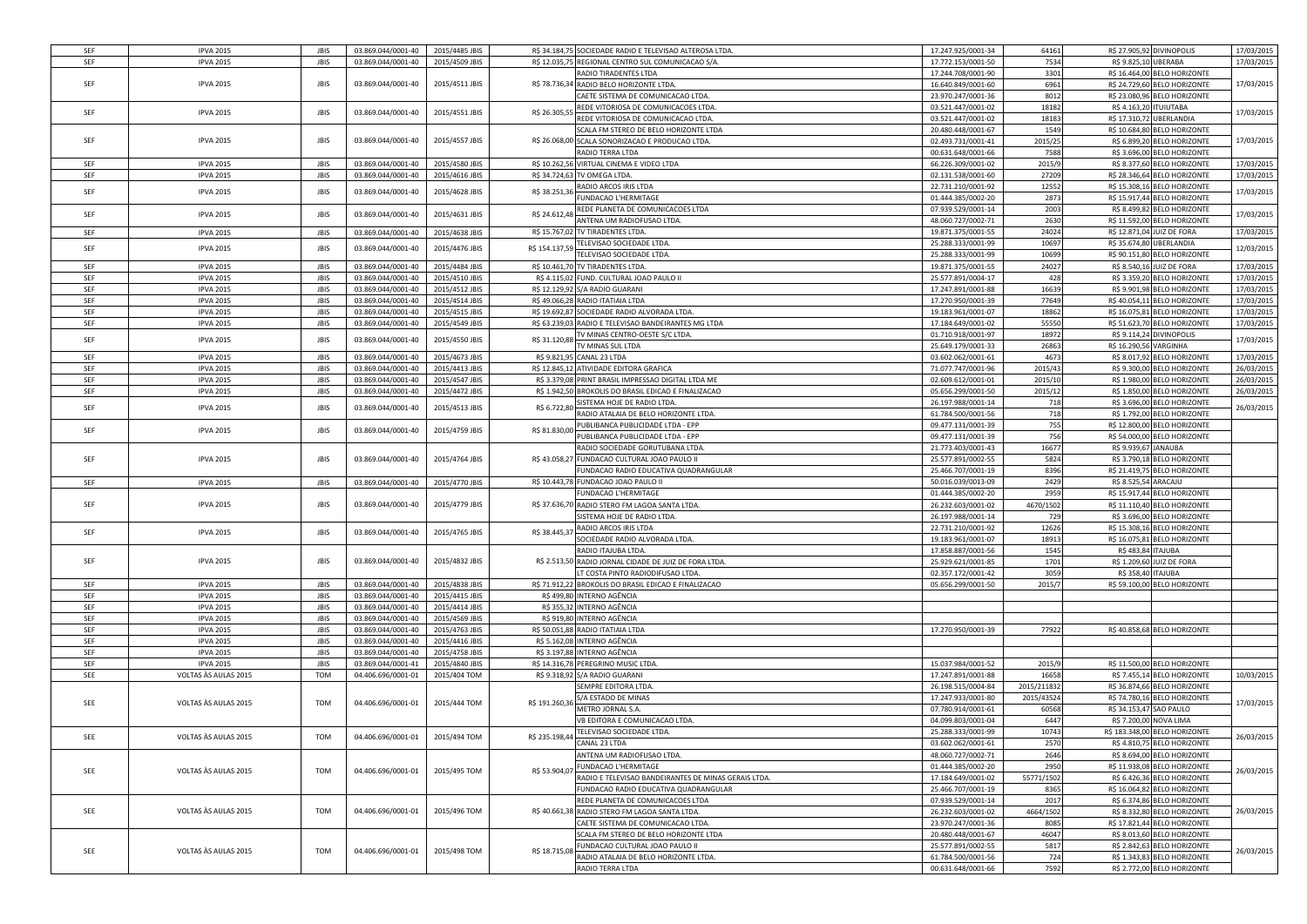| SFF        | <b>IPVA 2015</b>     | <b>IBIS</b> | 03.869.044/0001-40 | 2015/4485 JBIS |                | R\$ 34.184,75 SOCIEDADE RADIO E TELEVISAO ALTEROSA LTDA. | 17.247.925/0001-34 | 64161       |                        | R\$ 27.905,92 DIVINOPOLIS     | 17/03/2015 |
|------------|----------------------|-------------|--------------------|----------------|----------------|----------------------------------------------------------|--------------------|-------------|------------------------|-------------------------------|------------|
| SEF        | <b>IPVA 2015</b>     | <b>JBIS</b> | 03.869.044/0001-40 | 2015/4509 JBIS | R\$ 12.035,75  | REGIONAL CENTRO SUL COMUNICACAO S/A.                     | 17.772.153/0001-50 | 7534        | R\$ 9.825,10           | <b>UBERABA</b>                | 17/03/2015 |
|            |                      |             |                    |                |                |                                                          | 17.244.708/0001-90 |             |                        | R\$ 16,464.00 BELO HORIZONTE  |            |
|            |                      |             |                    |                |                | RADIO TIRADENTES LTDA                                    |                    | 3301        |                        |                               |            |
| SEF        | <b>IPVA 2015</b>     | JBIS        | 03.869.044/0001-40 | 2015/4511 JBIS |                | R\$ 78.736,34 RADIO BELO HORIZONTE LTDA                  | 16.640.849/0001-60 | 6961        |                        | R\$ 24.729,60 BELO HORIZONTE  | 17/03/2015 |
|            |                      |             |                    |                |                | CAETE SISTEMA DE COMUNICACAO LTDA.                       | 23.970.247/0001-36 | 8012        |                        | R\$ 23.080,96 BELO HORIZONTE  |            |
|            |                      |             |                    |                |                | REDE VITORIOSA DE COMUNICACOES LTDA                      | 03.521.447/0001-02 | 18182       | R\$ 4.163,20 ITUIUTABA |                               |            |
| SEF        | <b>IPVA 2015</b>     | JBIS        | 03.869.044/0001-40 | 2015/4551 JBIS | R\$ 26.305,55  | REDE VITORIOSA DE COMUNICACAO LTDA.                      | 03.521.447/0001-02 | 18183       |                        | R\$ 17.310,72 UBERLANDIA      | 17/03/2015 |
|            |                      |             |                    |                |                | <b>SCALA FM STEREO DE BELO HORIZONTE LTDA</b>            | 20.480.448/0001-67 | 1549        |                        | R\$ 10.684,80 BELO HORIZONTE  |            |
| SEF        | <b>IPVA 2015</b>     | JBIS        | 03.869.044/0001-40 | 2015/4557 JBIS |                | R\$ 26.068,00 SCALA SONORIZACAO E PRODUCAO LTDA.         | 02.493.731/0001-41 | 2015/25     |                        | R\$ 6.899.20 BELO HORIZONTE   | 17/03/2015 |
|            |                      |             |                    |                |                |                                                          |                    |             |                        |                               |            |
|            |                      |             |                    |                |                | RADIO TERRA LTDA                                         | 00.631.648/0001-66 | 7588        |                        | R\$ 3.696,00 BELO HORIZONTE   |            |
| SEF        | <b>IPVA 2015</b>     | <b>JBIS</b> | 03.869.044/0001-40 | 2015/4580 JBIS | R\$ 10.262,56  | VIRTUAL CINEMA E VIDEO LTDA                              | 66.226.309/0001-02 | 2015/9      | R\$ 8.377,6            | <b>BELO HORIZONTE</b>         | 17/03/2015 |
| SEF        | <b>IPVA 2015</b>     | JBIS        | 03.869.044/0001-40 | 2015/4616 JBIS |                | R\$ 34.724,63 TV OMEGA LTDA.                             | 02.131.538/0001-60 | 27209       |                        | R\$ 28.346,64 BELO HORIZONTE  | 17/03/2015 |
|            |                      |             |                    |                |                | RADIO ARCOS IRIS LTDA                                    | 22.731.210/0001-92 | 12552       | R\$ 15.308,16          | <b>BELO HORIZONTE</b>         |            |
| SEF        | <b>IPVA 2015</b>     | JBIS        | 03.869.044/0001-40 | 2015/4628 JBIS | R\$ 38.251,36  | <b>FUNDACAO L'HERMITAGE</b>                              | 01.444.385/0002-20 | 2873        |                        | R\$ 15.917,44 BELO HORIZONTE  | 17/03/2015 |
|            |                      |             |                    |                |                | REDE PLANETA DE COMUNICACOES LTDA                        | 07.939.529/0001-14 | 2003        |                        | R\$ 8.499,82 BELO HORIZONTE   |            |
| SEF        | <b>IPVA 2015</b>     | JBIS        | 03.869.044/0001-40 | 2015/4631 JBIS | R\$ 24.612,48  |                                                          |                    |             |                        |                               | 17/03/2015 |
|            |                      |             |                    |                |                | ANTENA UM RADIOFUSAO LTDA.                               | 48.060.727/0002-71 | 2630        |                        | R\$ 11.592,00 BELO HORIZONTE  |            |
| SEF        | <b>IPVA 2015</b>     | JBIS        | 03.869.044/0001-40 | 2015/4638 JBIS |                | R\$ 15.767,02 TV TIRADENTES LTDA                         | 19.871.375/0001-55 | 24024       |                        | R\$ 12.871,04 JUIZ DE FORA    | 17/03/2015 |
| SEF        | <b>IPVA 2015</b>     | <b>JBIS</b> | 03.869.044/0001-40 | 2015/4476 JBIS | R\$ 154.137,59 | TELEVISAO SOCIEDADE LTDA.                                | 25.288.333/0001-99 | 10697       |                        | R\$ 35,674.80 UBERLANDIA      | 12/03/2015 |
|            |                      |             |                    |                |                | TELEVISAO SOCIEDADE LTDA.                                | 25.288.333/0001-99 | 10699       |                        | R\$ 90.151,80 BELO HORIZONTE  |            |
| SEF        | <b>IPVA 2015</b>     | <b>JBIS</b> | 03.869.044/0001-40 | 2015/4484 JBIS | R\$ 10.461,70  | TV TIRADENTES LTDA                                       | 19.871.375/0001-55 | 24027       | R\$ 8.540,16           | <b>JUIZ DE FORA</b>           | 17/03/2015 |
|            |                      |             |                    |                |                |                                                          |                    |             |                        |                               | 17/03/2015 |
| SEF        | <b>IPVA 2015</b>     | <b>JBIS</b> | 03.869.044/0001-40 | 2015/4510 JBIS |                | R\$ 4.115,02 FUND. CULTURAL JOAO PAULO II                | 25.577.891/0004-17 | 428         |                        | R\$ 3.359,20 BELO HORIZONTE   |            |
| SEF        | <b>IPVA 2015</b>     | <b>JBIS</b> | 03.869.044/0001-40 | 2015/4512 JBIS | R\$ 12.129,92  | S/A RADIO GUARANI                                        | 17.247.891/0001-88 | 16639       | R\$ 9.901,98           | <b>BELO HORIZONTE</b>         | 17/03/2015 |
| SEF        | <b>IPVA 2015</b>     | JBIS        | 03.869.044/0001-40 | 2015/4514 JBIS |                | R\$ 49.066,28 RADIO ITATIAIA LTDA                        | 17.270.950/0001-39 | 77649       |                        | R\$ 40.054,11 BELO HORIZONTE  | 17/03/2015 |
| SEF        | <b>IPVA 2015</b>     | <b>JBIS</b> | 03.869.044/0001-40 | 2015/4515 JBIS |                | R\$ 19.692,87 SOCIEDADE RADIO ALVORADA LTDA              | 19.183.961/0001-07 | 18862       | R\$ 16.075,81          | <b>BELO HORIZONTE</b>         | 17/03/2015 |
| SEF        | <b>IPVA 2015</b>     | <b>JBIS</b> | 03.869.044/0001-40 | 2015/4549 JBIS |                | R\$ 63.239,03 RADIO E TELEVISAO BANDEIRANTES MG LTDA     | 17.184.649/0001-02 | 55550       |                        | R\$ 51.623,70 BELO HORIZONTE  | 17/03/2015 |
|            |                      |             |                    |                |                | TV MINAS CENTRO-OESTE S/C LTDA                           | 01.710.918/0001-97 | 18972       |                        | R\$ 9.114,24 DIVINOPOLIS      |            |
| SEF        | <b>IPVA 2015</b>     | <b>JBIS</b> | 03.869.044/0001-40 | 2015/4550 JBIS | R\$ 31.120,88  | TV MINAS SUL LTDA                                        | 25.649.179/0001-33 | 26863       |                        |                               | 17/03/2015 |
|            |                      |             |                    |                |                |                                                          |                    |             | R\$ 16.290,56          | VARGINHA                      |            |
| SEF        | <b>IPVA 2015</b>     | <b>JBIS</b> | 03.869.044/0001-40 | 2015/4673 JBIS |                | R\$ 9.821,95 CANAL 23 LTDA                               | 03.602.062/0001-61 | 4673        |                        | R\$ 8.017,92 BELO HORIZONTE   | 17/03/2015 |
| SEF        | <b>IPVA 2015</b>     | <b>JBIS</b> | 03.869.044/0001-40 | 2015/4413 JBIS | R\$ 12.845,12  | ATIVIDADE EDITORA GRAFICA                                | 71.077.747/0001-96 | 2015/43     | R\$ 9.300,00           | <b>BELO HORIZONTE</b>         | 26/03/2015 |
| SEF        | <b>IPVA 2015</b>     | <b>JBIS</b> | 03.869.044/0001-40 | 2015/4547 JBIS |                | R\$ 3.379,08 PRINT BRASIL IMPRESSAO DIGITAL LTDA ME      | 02.609.612/0001-01 | 2015/10     |                        | R\$ 1.980,00 BELO HORIZONTE   | 26/03/2015 |
| SEF        | <b>IPVA 2015</b>     | <b>JBIS</b> | 03.869.044/0001-40 | 2015/4472 JBIS |                | R\$ 1.942,50 BROKOLIS DO BRASIL EDICAO E FINALIZACAO     | 05.656.299/0001-50 | 2015/12     |                        | R\$ 1.850,00 BELO HORIZONTE   | 26/03/2015 |
|            |                      |             |                    |                |                | SISTEMA HOJE DE RADIO LTDA                               | 26.197.988/0001-14 | 718         |                        | R\$ 3.696,00 BELO HORIZONTE   |            |
| SEF        | <b>IPVA 2015</b>     | <b>JBIS</b> | 03.869.044/0001-40 | 2015/4513 JBIS | R\$ 6.722,80   | RADIO ATALAIA DE BELO HORIZONTE LTDA                     |                    |             |                        | R\$ 1.792.00 BELO HORIZONTE   | 26/03/2015 |
|            |                      |             |                    |                |                |                                                          | 61.784.500/0001-56 | 718         |                        |                               |            |
| SEF        | <b>IPVA 2015</b>     | <b>JBIS</b> | 03.869.044/0001-40 | 2015/4759 JBIS | R\$ 81.830,0   | PUBLIBANCA PUBLICIDADE LTDA - EPP                        | 09.477.131/0001-39 | 755         |                        | R\$ 12.800,00 BELO HORIZONTE  |            |
|            |                      |             |                    |                |                | PUBLIBANCA PUBLICIDADE LTDA - EPP                        | 09.477.131/0001-39 | 756         |                        | R\$ 54,000.00 BELO HORIZONTE  |            |
|            |                      |             |                    |                |                | RADIO SOCIEDADE GORUTUBANA LTDA.                         | 21.773.403/0001-43 | 16677       | R\$ 9.939,6            | <b>JANAUBA</b>                |            |
| SEF        | <b>IPVA 2015</b>     | <b>JBIS</b> | 03.869.044/0001-40 | 2015/4764 JBIS |                | R\$ 43.058,27 FUNDACAO CULTURAL JOAO PAULO II            | 25.577.891/0002-55 | 5824        |                        | R\$ 3.790,18 BELO HORIZONTE   |            |
|            |                      |             |                    |                |                | UNDACAO RADIO EDUCATIVA QUADRANGULAR                     | 25.466.707/0001-19 | 8396        |                        | R\$ 21.419,75 BELO HORIZONTE  |            |
|            |                      |             |                    | 2015/4770 JBIS |                |                                                          |                    | 2429        | R\$ 8.525,54 ARACAJU   |                               |            |
| SEF        | <b>IPVA 2015</b>     | <b>JBIS</b> | 03.869.044/0001-40 |                |                | R\$ 10.443,78 FUNDACAO JOAO PAULO II                     | 50.016.039/0013-09 |             |                        |                               |            |
|            |                      |             |                    |                |                | UNDACAO L'HERMITAGE                                      | 01.444.385/0002-20 | 2959        |                        | R\$ 15.917,44 BELO HORIZONTE  |            |
| SEF        | <b>IPVA 2015</b>     | <b>JBIS</b> | 03.869.044/0001-40 | 2015/4779 JBIS |                | R\$ 37.636,70 RADIO STERO FM LAGOA SANTA LTDA.           | 26.232.603/0001-02 | 4670/1502   |                        | R\$ 11.110,40 BELO HORIZONTE  |            |
|            |                      |             |                    |                |                | SISTEMA HOJE DE RADIO LTDA.                              | 26.197.988/0001-14 | 729         |                        | R\$ 3.696,00 BELO HORIZONTE   |            |
|            |                      |             |                    |                |                | RADIO ARCOS IRIS LTDA                                    | 22.731.210/0001-92 | 12626       |                        | R\$ 15.308,16 BELO HORIZONTE  |            |
| SEF        | <b>IPVA 2015</b>     | <b>JBIS</b> | 03.869.044/0001-40 | 2015/4765 JBIS | R\$ 38.445,37  | SOCIEDADE RADIO ALVORADA LTDA                            | 19.183.961/0001-07 | 18913       | R\$ 16.075,81          | <b>BELO HORIZONTE</b>         |            |
|            |                      |             |                    |                |                | RADIO ITAJUBA LTDA.                                      | 17.858.887/0001-56 | 1545        | R\$ 483,84             | <b>ITAJUBA</b>                |            |
|            |                      |             |                    |                |                |                                                          |                    |             |                        |                               |            |
| SEF        | <b>IPVA 2015</b>     | <b>JBIS</b> | 03.869.044/0001-40 | 2015/4832 JBIS |                | R\$ 2.513,50 RADIO JORNAL CIDADE DE JUIZ DE FORA LTDA.   | 25.929.621/0001-85 | 1701        |                        | R\$ 1.209,60 JUIZ DE FORA     |            |
|            |                      |             |                    |                |                | T COSTA PINTO RADIODIFUSAO LTDA                          | 02.357.172/0001-42 | 3059        | R\$ 358,40             | <b>ITAJUBA</b>                |            |
| <b>SEF</b> | <b>IPVA 2015</b>     | <b>JBIS</b> | 03.869.044/0001-40 | 2015/4838 JBIS |                | R\$ 71.912,22 BROKOLIS DO BRASIL EDICAO E FINALIZACAO    | 05.656.299/0001-50 | 2015/7      |                        | R\$ 59.100,00 BELO HORIZONTE  |            |
| SEF        | <b>IPVA 2015</b>     | JBIS        | 03.869.044/0001-40 | 2015/4415 JBIS |                | R\$ 499,80 INTERNO AGÊNCIA                               |                    |             |                        |                               |            |
| SEF        | <b>IPVA 2015</b>     | JBIS        | 03.869.044/0001-40 | 2015/4414 JBIS |                | R\$ 355,32 INTERNO AGÊNCIA                               |                    |             |                        |                               |            |
| SEF        |                      | <b>JBIS</b> | 03.869.044/0001-40 |                |                | R\$ 919,80 INTERNO AGÊNCIA                               |                    |             |                        |                               |            |
|            | <b>IPVA 2015</b>     |             |                    | 2015/4569 JBIS |                |                                                          |                    |             |                        |                               |            |
| SEF        | <b>IPVA 2015</b>     | <b>JBIS</b> | 03.869.044/0001-40 | 2015/4763 JBIS |                | R\$ 50.051,88 RADIO ITATIAIA LTDA                        | 17.270.950/0001-39 | 77922       |                        | R\$ 40.858,68 BELO HORIZONTE  |            |
| SEF        | <b>IPVA 2015</b>     | <b>JBIS</b> | 03.869.044/0001-40 | 2015/4416 JBIS | R\$ 5.162,08   | INTERNO AGÊNCIA                                          |                    |             |                        |                               |            |
| SEF        | <b>IPVA 2015</b>     | <b>JBIS</b> | 03.869.044/0001-40 | 2015/4758 JBIS | R\$ 3.197,88   | INTERNO AGÊNCIA                                          |                    |             |                        |                               |            |
| SEF        | <b>IPVA 2015</b>     | <b>JBIS</b> | 03.869.044/0001-41 | 2015/4840 JBIS |                | R\$ 14.316,78 PEREGRINO MUSIC LTDA.                      | 15.037.984/0001-52 | 2015/9      |                        | R\$ 11.500,00 BELO HORIZONTE  |            |
| SEE        | VOLTAS ÀS AULAS 2015 | TOM         | 04.406.696/0001-01 | 2015/404 TOM   |                | R\$ 9.318,92 S/A RADIO GUARANI                           | 17.247.891/0001-88 | 16658       |                        | R\$ 7.455,14 BELO HORIZONTE   | 10/03/2015 |
|            |                      |             |                    |                |                |                                                          |                    |             |                        | R\$ 36.874,66 BELO HORIZONTE  |            |
|            |                      |             |                    |                |                | <b>SEMPRE EDITORA LTDA</b>                               | 26.198.515/0004-84 | 2015/211832 |                        |                               |            |
| SEE        | VOLTAS ÀS AULAS 2015 | TOM         | 04.406.696/0001-01 | 2015/444 TOM   | R\$ 191.260,36 | S/A ESTADO DE MINAS                                      | 17.247.933/0001-80 | 2015/43524  |                        | R\$ 74.780,16 BELO HORIZONTE  | 17/03/2015 |
|            |                      |             |                    |                |                | METRO JORNAL S.A.                                        | 07.780.914/0001-61 | 60568       | R\$ 34.153,47          | <b>SAO PAULO</b>              |            |
|            |                      |             |                    |                |                | VB EDITORA E COMUNICACAO LTDA.                           | 04.099.803/0001-04 | 6447        |                        | R\$ 7.200,00 NOVA LIMA        |            |
|            |                      |             |                    |                |                | TELEVISAO SOCIEDADE LTDA.                                | 25.288.333/0001-99 | 10743       |                        | R\$ 183.348,00 BELO HORIZONTE |            |
| SEE        | VOLTAS ÀS AULAS 2015 | TOM         | 04.406.696/0001-01 | 2015/494 TOM   | R\$ 235.198,44 | ANAL 23 LTDA:                                            | 03.602.062/0001-61 | 2570        |                        | R\$ 4.810,75 BELO HORIZONTE   | 26/03/2015 |
|            |                      |             |                    |                |                |                                                          |                    |             |                        |                               |            |
|            |                      |             |                    |                |                | ANTENA UM RADIOFUSAO LTDA.                               | 48.060.727/0002-71 | 2646        |                        | R\$ 8.694,00 BELO HORIZONTE   |            |
| SEE        | VOLTAS ÀS AULAS 2015 | TOM         | 04.406.696/0001-01 | 2015/495 TOM   | R\$ 53.904,07  | FUNDACAO L'HERMITAGE                                     | 01.444.385/0002-20 | 2950        |                        | R\$ 11.938,08 BELO HORIZONTE  | 26/03/2015 |
|            |                      |             |                    |                |                | RADIO E TELEVISAO BANDEIRANTES DE MINAS GERAIS LTDA.     | 17.184.649/0001-02 | 55771/1502  |                        | R\$ 6.426,36 BELO HORIZONTE   |            |
|            |                      |             |                    |                |                | UNDACAO RADIO EDUCATIVA QUADRANGULAR                     | 25.466.707/0001-19 | 8365        |                        | R\$ 16.064,82 BELO HORIZONTE  |            |
|            |                      |             |                    |                |                | REDE PLANETA DE COMUNICACOES LTDA                        | 07.939.529/0001-14 | 2017        |                        | R\$ 6.374,86 BELO HORIZONTE   |            |
| SEE        | VOLTAS ÀS AULAS 2015 | TOM         | 04.406.696/0001-01 | 2015/496 TOM   |                | R\$ 40.661,38 RADIO STERO FM LAGOA SANTA LTDA.           | 26.232.603/0001-02 | 4664/1502   |                        | R\$ 8.332,80 BELO HORIZONTE   | 26/03/2015 |
|            |                      |             |                    |                |                |                                                          |                    |             |                        |                               |            |
|            |                      |             |                    |                |                | CAETE SISTEMA DE COMUNICACAO LTDA.                       | 23.970.247/0001-36 | 8085        |                        | R\$ 17.821,44 BELO HORIZONTE  |            |
|            |                      |             |                    |                |                | SCALA FM STEREO DE BELO HORIZONTE LTDA                   | 20.480.448/0001-67 | 46047       |                        | R\$ 8.013,60 BELO HORIZONTE   |            |
| SEE        |                      |             | 04.406.696/0001-01 | 2015/498 TOM   | R\$ 18.715,08  | UNDACAO CULTURAL JOAO PAULO II                           | 25.577.891/0002-55 | 5817        |                        | R\$ 2.842,63 BELO HORIZONTE   | 26/03/2015 |
|            | VOLTAS ÀS AULAS 2015 | TOM         |                    |                |                | RADIO ATALAIA DE BELO HORIZONTE LTDA                     | 61.784.500/0001-56 | 724         |                        | R\$ 1.343,83 BELO HORIZONTE   |            |
|            |                      |             |                    |                |                | RADIO TERRA LTDA                                         | 00.631.648/0001-66 | 7592        |                        | R\$ 2.772,00 BELO HORIZONTE   |            |
|            |                      |             |                    |                |                |                                                          |                    |             |                        |                               |            |